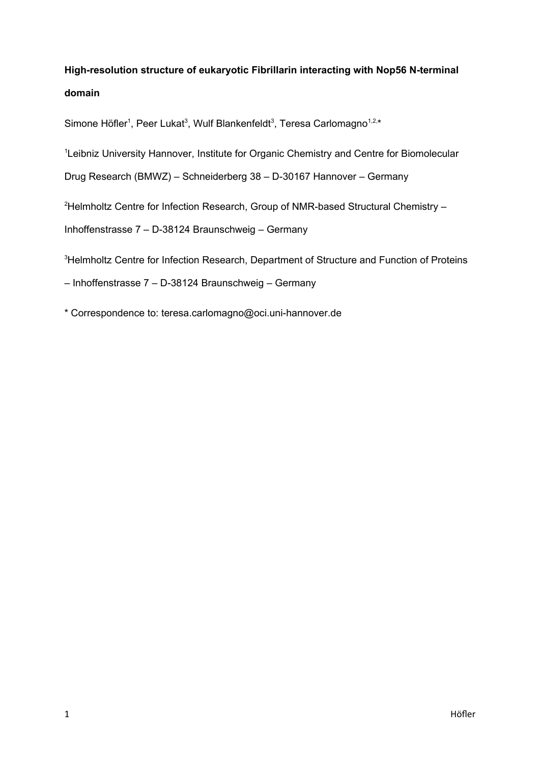# **High-resolution structure of eukaryotic Fibrillarin interacting with Nop56 N-terminal domain**

Simone Höfler<sup>1</sup>, Peer Lukat<sup>3</sup>, Wulf Blankenfeldt<sup>3</sup>, Teresa Carlomagno<sup>1,2,</sup>\*

<sup>1</sup>Leibniz University Hannover, Institute for Organic Chemistry and Centre for Biomolecular

Drug Research (BMWZ) – Schneiderberg 38 – D-30167 Hannover – Germany

<sup>2</sup>Helmholtz Centre for Infection Research, Group of NMR-based Structural Chemistry -

Inhoffenstrasse 7 – D-38124 Braunschweig – Germany

<sup>3</sup>Helmholtz Centre for Infection Research, Department of Structure and Function of Proteins

– Inhoffenstrasse 7 – D-38124 Braunschweig – Germany

\* Correspondence to: teresa.carlomagno@oci.uni-hannover.de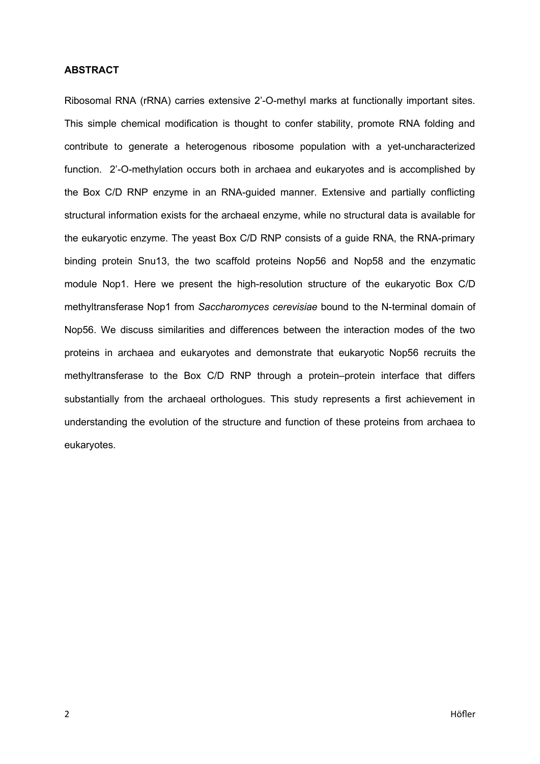## **ABSTRACT**

Ribosomal RNA (rRNA) carries extensive 2'-O-methyl marks at functionally important sites. This simple chemical modification is thought to confer stability, promote RNA folding and contribute to generate a heterogenous ribosome population with a yet-uncharacterized function. 2'-O-methylation occurs both in archaea and eukaryotes and is accomplished by the Box C/D RNP enzyme in an RNA-guided manner. Extensive and partially conflicting structural information exists for the archaeal enzyme, while no structural data is available for the eukaryotic enzyme. The yeast Box C/D RNP consists of a guide RNA, the RNA-primary binding protein Snu13, the two scaffold proteins Nop56 and Nop58 and the enzymatic module Nop1. Here we present the high-resolution structure of the eukaryotic Box C/D methyltransferase Nop1 from *Saccharomyces cerevisiae* bound to the N-terminal domain of Nop56. We discuss similarities and differences between the interaction modes of the two proteins in archaea and eukaryotes and demonstrate that eukaryotic Nop56 recruits the methyltransferase to the Box C/D RNP through a protein–protein interface that differs substantially from the archaeal orthologues. This study represents a first achievement in understanding the evolution of the structure and function of these proteins from archaea to eukaryotes.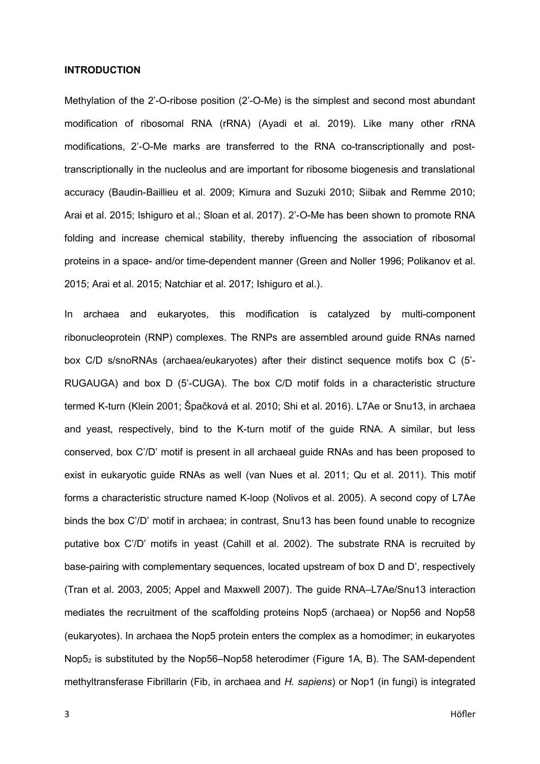### **INTRODUCTION**

Methylation of the 2'-O-ribose position (2'-O-Me) is the simplest and second most abundant modification of ribosomal RNA (rRNA) (Ayadi et al. 2019). Like many other rRNA modifications, 2'-O-Me marks are transferred to the RNA co-transcriptionally and posttranscriptionally in the nucleolus and are important for ribosome biogenesis and translational accuracy (Baudin-Baillieu et al. 2009; Kimura and Suzuki 2010; Siibak and Remme 2010; Arai et al. 2015; Ishiguro et al.; Sloan et al. 2017). 2'-O-Me has been shown to promote RNA folding and increase chemical stability, thereby influencing the association of ribosomal proteins in a space- and/or time-dependent manner (Green and Noller 1996; Polikanov et al. 2015; Arai et al. 2015; Natchiar et al. 2017; Ishiguro et al.).

In archaea and eukaryotes, this modification is catalyzed by multi-component ribonucleoprotein (RNP) complexes. The RNPs are assembled around guide RNAs named box C/D s/snoRNAs (archaea/eukaryotes) after their distinct sequence motifs box C (5'- RUGAUGA) and box D (5'-CUGA). The box C/D motif folds in a characteristic structure termed K-turn (Klein 2001; Špačková et al. 2010; Shi et al. 2016). L7Ae or Snu13, in archaea and yeast, respectively, bind to the K-turn motif of the guide RNA. A similar, but less conserved, box C'/D' motif is present in all archaeal guide RNAs and has been proposed to exist in eukaryotic guide RNAs as well (van Nues et al. 2011; Qu et al. 2011). This motif forms a characteristic structure named K-loop (Nolivos et al. 2005). A second copy of L7Ae binds the box C'/D' motif in archaea; in contrast, Snu13 has been found unable to recognize putative box C'/D' motifs in yeast (Cahill et al. 2002). The substrate RNA is recruited by base-pairing with complementary sequences, located upstream of box D and D', respectively (Tran et al. 2003, 2005; Appel and Maxwell 2007). The guide RNA–L7Ae/Snu13 interaction mediates the recruitment of the scaffolding proteins Nop5 (archaea) or Nop56 and Nop58 (eukaryotes). In archaea the Nop5 protein enters the complex as a homodimer; in eukaryotes Nop52 is substituted by the Nop56–Nop58 heterodimer (Figure 1A, B). The SAM-dependent methyltransferase Fibrillarin (Fib, in archaea and *H. sapiens*) or Nop1 (in fungi) is integrated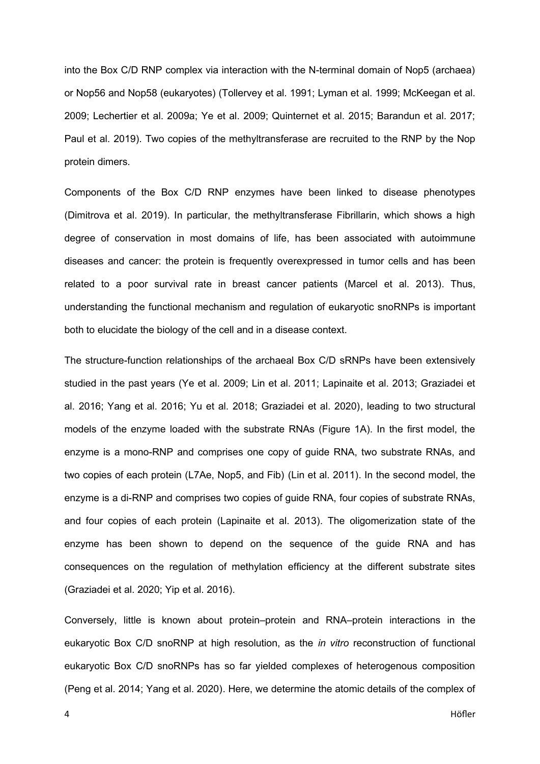into the Box C/D RNP complex via interaction with the N-terminal domain of Nop5 (archaea) or Nop56 and Nop58 (eukaryotes) (Tollervey et al. 1991; Lyman et al. 1999; McKeegan et al. 2009; Lechertier et al. 2009a; Ye et al. 2009; Quinternet et al. 2015; Barandun et al. 2017; Paul et al. 2019). Two copies of the methyltransferase are recruited to the RNP by the Nop protein dimers.

Components of the Box C/D RNP enzymes have been linked to disease phenotypes (Dimitrova et al. 2019). In particular, the methyltransferase Fibrillarin, which shows a high degree of conservation in most domains of life, has been associated with autoimmune diseases and cancer: the protein is frequently overexpressed in tumor cells and has been related to a poor survival rate in breast cancer patients (Marcel et al. 2013). Thus, understanding the functional mechanism and regulation of eukaryotic snoRNPs is important both to elucidate the biology of the cell and in a disease context.

The structure-function relationships of the archaeal Box C/D sRNPs have been extensively studied in the past years (Ye et al. 2009; Lin et al. 2011; Lapinaite et al. 2013; Graziadei et al. 2016; Yang et al. 2016; Yu et al. 2018; Graziadei et al. 2020), leading to two structural models of the enzyme loaded with the substrate RNAs (Figure 1A). In the first model, the enzyme is a mono-RNP and comprises one copy of guide RNA, two substrate RNAs, and two copies of each protein (L7Ae, Nop5, and Fib) (Lin et al. 2011). In the second model, the enzyme is a di-RNP and comprises two copies of guide RNA, four copies of substrate RNAs, and four copies of each protein (Lapinaite et al. 2013). The oligomerization state of the enzyme has been shown to depend on the sequence of the guide RNA and has consequences on the regulation of methylation efficiency at the different substrate sites (Graziadei et al. 2020; Yip et al. 2016).

Conversely, little is known about protein–protein and RNA–protein interactions in the eukaryotic Box C/D snoRNP at high resolution, as the *in vitro* reconstruction of functional eukaryotic Box C/D snoRNPs has so far yielded complexes of heterogenous composition (Peng et al. 2014; Yang et al. 2020). Here, we determine the atomic details of the complex of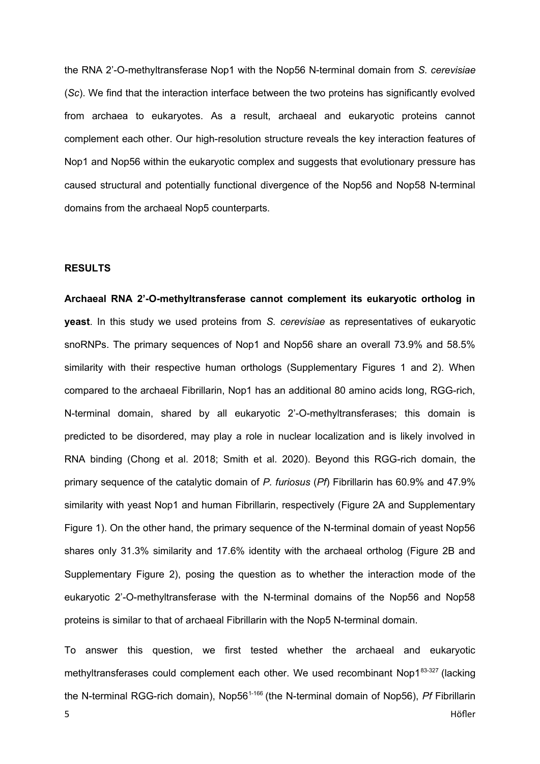the RNA 2'-O-methyltransferase Nop1 with the Nop56 N-terminal domain from *S. cerevisiae* (*Sc*). We find that the interaction interface between the two proteins has significantly evolved from archaea to eukaryotes. As a result, archaeal and eukaryotic proteins cannot complement each other. Our high-resolution structure reveals the key interaction features of Nop1 and Nop56 within the eukaryotic complex and suggests that evolutionary pressure has caused structural and potentially functional divergence of the Nop56 and Nop58 N-terminal domains from the archaeal Nop5 counterparts.

## **RESULTS**

**Archaeal RNA 2'-O-methyltransferase cannot complement its eukaryotic ortholog in yeast**. In this study we used proteins from *S. cerevisiae* as representatives of eukaryotic snoRNPs. The primary sequences of Nop1 and Nop56 share an overall 73.9% and 58.5% similarity with their respective human orthologs (Supplementary Figures 1 and 2). When compared to the archaeal Fibrillarin, Nop1 has an additional 80 amino acids long, RGG-rich, N-terminal domain, shared by all eukaryotic 2'-O-methyltransferases; this domain is predicted to be disordered, may play a role in nuclear localization and is likely involved in RNA binding (Chong et al. 2018; Smith et al. 2020). Beyond this RGG-rich domain, the primary sequence of the catalytic domain of *P. furiosus* (*Pf*) Fibrillarin has 60.9% and 47.9% similarity with yeast Nop1 and human Fibrillarin, respectively (Figure 2A and Supplementary Figure 1). On the other hand, the primary sequence of the N-terminal domain of yeast Nop56 shares only 31.3% similarity and 17.6% identity with the archaeal ortholog (Figure 2B and Supplementary Figure 2), posing the question as to whether the interaction mode of the eukaryotic 2'-O-methyltransferase with the N-terminal domains of the Nop56 and Nop58 proteins is similar to that of archaeal Fibrillarin with the Nop5 N-terminal domain.

To answer this question, we first tested whether the archaeal and eukaryotic methyltransferases could complement each other. We used recombinant Nop183-327 (lacking the N-terminal RGG-rich domain), Nop561-166 (the N-terminal domain of Nop56), *Pf* Fibrillarin 5 States of the contract of the contract of the contract of the contract of the contract of the contract of the contract of the contract of the contract of the contract of the contract of the contract of the contract of th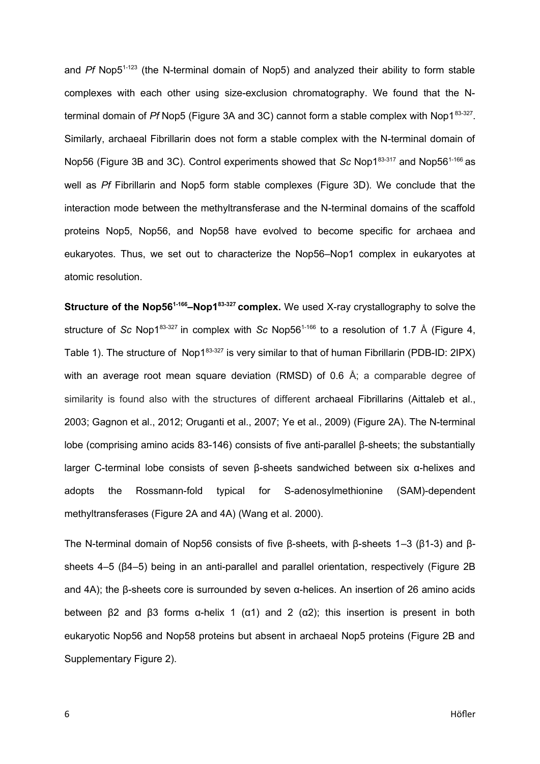and *Pf* Nop5<sup>1-123</sup> (the N-terminal domain of Nop5) and analyzed their ability to form stable complexes with each other using size-exclusion chromatography. We found that the Nterminal domain of *Pf* Nop5 (Figure 3A and 3C) cannot form a stable complex with Nop1<sup>83-327</sup>. Similarly, archaeal Fibrillarin does not form a stable complex with the N-terminal domain of Nop56 (Figure 3B and 3C). Control experiments showed that *Sc* Nop1<sup>83-317</sup> and Nop56<sup>1-166</sup> as well as *Pf* Fibrillarin and Nop5 form stable complexes (Figure 3D). We conclude that the interaction mode between the methyltransferase and the N-terminal domains of the scaffold proteins Nop5, Nop56, and Nop58 have evolved to become specific for archaea and eukaryotes. Thus, we set out to characterize the Nop56–Nop1 complex in eukaryotes at atomic resolution.

**Structure of the Nop561-166–Nop183-327 complex.** We used X-ray crystallography to solve the structure of *Sc* Nop1<sup>83-327</sup> in complex with *Sc* Nop56<sup>1-166</sup> to a resolution of 1.7 Å (Figure 4, Table 1). The structure of Nop1<sup>83-327</sup> is very similar to that of human Fibrillarin (PDB-ID: 2IPX) with an average root mean square deviation (RMSD) of 0.6 Å; a comparable degree of similarity is found also with the structures of different archaeal Fibrillarins (Aittaleb et al., 2003; Gagnon et al., 2012; Oruganti et al., 2007; Ye et al., 2009) (Figure 2A). The N-terminal lobe (comprising amino acids 83-146) consists of five anti-parallel β-sheets; the substantially larger C-terminal lobe consists of seven β-sheets sandwiched between six α-helixes and adopts the Rossmann-fold typical for S-adenosylmethionine (SAM)-dependent methyltransferases (Figure 2A and 4A) (Wang et al. 2000).

The N-terminal domain of Nop56 consists of five β-sheets, with β-sheets 1–3 (β1-3) and βsheets 4–5 (β4–5) being in an anti-parallel and parallel orientation, respectively (Figure 2B and 4A); the β-sheets core is surrounded by seven α-helices. An insertion of 26 amino acids between β2 and β3 forms  $\alpha$ -helix 1 ( $\alpha$ 1) and 2 ( $\alpha$ 2); this insertion is present in both eukaryotic Nop56 and Nop58 proteins but absent in archaeal Nop5 proteins (Figure 2B and Supplementary Figure 2).

6 Höfler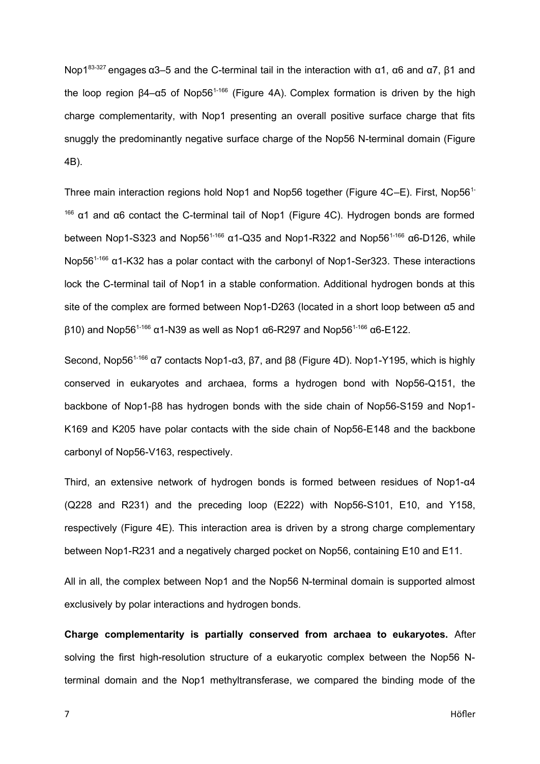Nop1<sup>83-327</sup> engages α3–5 and the C-terminal tail in the interaction with α1, α6 and α7, β1 and the loop region  $\beta$ 4-α5 of Nop56<sup>1-166</sup> (Figure 4A). Complex formation is driven by the high charge complementarity, with Nop1 presenting an overall positive surface charge that fits snuggly the predominantly negative surface charge of the Nop56 N-terminal domain (Figure 4B).

Three main interaction regions hold Nop1 and Nop56 together (Figure 4C–E). First, Nop56<sup>1-</sup>  $166$  α1 and α6 contact the C-terminal tail of Nop1 (Figure 4C). Hydrogen bonds are formed between Nop1-S323 and Nop56<sup>1-166</sup> α1-Q35 and Nop1-R322 and Nop56<sup>1-166</sup> α6-D126, while Nop56<sup>1-166</sup> α1-K32 has a polar contact with the carbonyl of Nop1-Ser323. These interactions lock the C-terminal tail of Nop1 in a stable conformation. Additional hydrogen bonds at this site of the complex are formed between Nop1-D263 (located in a short loop between α5 and  $\beta$ 10) and Nop56<sup>1-166</sup> α1-N39 as well as Nop1 α6-R297 and Nop56<sup>1-166</sup> α6-E122.

Second, Nop56<sup>1-166</sup> α7 contacts Nop1-α3, β7, and β8 (Figure 4D). Nop1-Y195, which is highly conserved in eukaryotes and archaea, forms a hydrogen bond with Nop56-Q151, the backbone of Nop1-β8 has hydrogen bonds with the side chain of Nop56-S159 and Nop1- K169 and K205 have polar contacts with the side chain of Nop56-E148 and the backbone carbonyl of Nop56-V163, respectively.

Third, an extensive network of hydrogen bonds is formed between residues of Nop1-α4 (Q228 and R231) and the preceding loop (E222) with Nop56-S101, E10, and Y158, respectively (Figure 4E). This interaction area is driven by a strong charge complementary between Nop1-R231 and a negatively charged pocket on Nop56, containing E10 and E11.

All in all, the complex between Nop1 and the Nop56 N-terminal domain is supported almost exclusively by polar interactions and hydrogen bonds.

**Charge complementarity is partially conserved from archaea to eukaryotes.** After solving the first high-resolution structure of a eukaryotic complex between the Nop56 Nterminal domain and the Nop1 methyltransferase, we compared the binding mode of the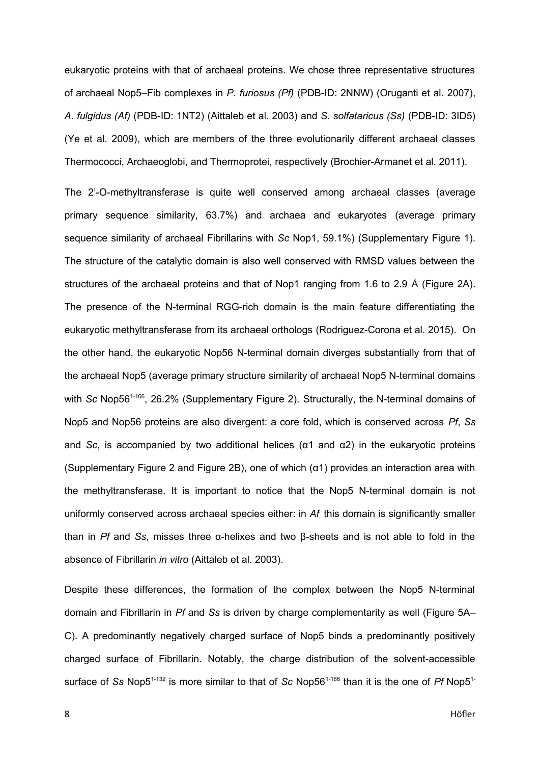eukaryotic proteins with that of archaeal proteins. We chose three representative structures of archaeal Nop5–Fib complexes in *P. furiosus (Pf)* (PDB-ID: 2NNW) (Oruganti et al. 2007), *A. fulgidus (Af)* (PDB-ID: 1NT2) (Aittaleb et al. 2003) and *S. solfataricus (Ss)* (PDB-ID: 3ID5) (Ye et al. 2009), which are members of the three evolutionarily different archaeal classes Thermococci, Archaeoglobi, and Thermoprotei, respectively (Brochier-Armanet et al. 2011).

The 2'-O-methyltransferase is quite well conserved among archaeal classes (average primary sequence similarity, 63.7%) and archaea and eukaryotes (average primary sequence similarity of archaeal Fibrillarins with *Sc* Nop1, 59.1%) (Supplementary Figure 1). The structure of the catalytic domain is also well conserved with RMSD values between the structures of the archaeal proteins and that of Nop1 ranging from 1.6 to 2.9 Å (Figure 2A). The presence of the N-terminal RGG-rich domain is the main feature differentiating the eukaryotic methyltransferase from its archaeal orthologs (Rodriguez-Corona et al. 2015). On the other hand, the eukaryotic Nop56 N-terminal domain diverges substantially from that of the archaeal Nop5 (average primary structure similarity of archaeal Nop5 N-terminal domains with *Sc* Nop56<sup>1-166</sup>, 26.2% (Supplementary Figure 2). Structurally, the N-terminal domains of Nop5 and Nop56 proteins are also divergent: a core fold, which is conserved across *Pf*, *Ss* and *Sc*, is accompanied by two additional helices (α1 and α2) in the eukaryotic proteins (Supplementary Figure 2 and Figure 2B), one of which (α1) provides an interaction area with the methyltransferase. It is important to notice that the Nop5 N-terminal domain is not uniformly conserved across archaeal species either: in *Af*, this domain is significantly smaller than in *Pf* and *Ss*, misses three α-helixes and two β-sheets and is not able to fold in the absence of Fibrillarin *in vitro* (Aittaleb et al. 2003).

Despite these differences, the formation of the complex between the Nop5 N-terminal domain and Fibrillarin in *Pf* and *Ss* is driven by charge complementarity as well (Figure 5A– C). A predominantly negatively charged surface of Nop5 binds a predominantly positively charged surface of Fibrillarin. Notably, the charge distribution of the solvent-accessible surface of *Ss* Nop5<sup>1-132</sup> is more similar to that of *Sc* Nop56<sup>1-166</sup> than it is the one of *Pf* Nop5<sup>1-</sup>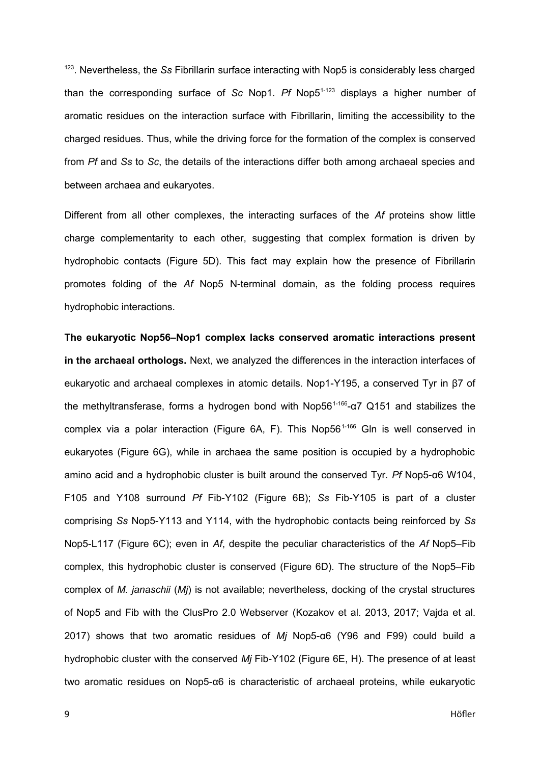<sup>123</sup>. Nevertheless, the *Ss* Fibrillarin surface interacting with Nop5 is considerably less charged than the corresponding surface of *Sc* Nop1. *Pf* Nop51-123 displays a higher number of aromatic residues on the interaction surface with Fibrillarin, limiting the accessibility to the charged residues. Thus, while the driving force for the formation of the complex is conserved from *Pf* and *Ss* to *Sc*, the details of the interactions differ both among archaeal species and between archaea and eukaryotes.

Different from all other complexes, the interacting surfaces of the *Af* proteins show little charge complementarity to each other, suggesting that complex formation is driven by hydrophobic contacts (Figure 5D). This fact may explain how the presence of Fibrillarin promotes folding of the *Af* Nop5 N-terminal domain, as the folding process requires hydrophobic interactions.

**The eukaryotic Nop56–Nop1 complex lacks conserved aromatic interactions present in the archaeal orthologs.** Next, we analyzed the differences in the interaction interfaces of eukaryotic and archaeal complexes in atomic details. Nop1-Y195, a conserved Tyr in β7 of the methyltransferase, forms a hydrogen bond with Nop56<sup>1-166</sup>-α7 Q151 and stabilizes the complex via a polar interaction (Figure  $6A$ , F). This Nop56<sup>1-166</sup> Gln is well conserved in eukaryotes (Figure 6G), while in archaea the same position is occupied by a hydrophobic amino acid and a hydrophobic cluster is built around the conserved Tyr. *Pf* Nop5-α6 W104, F105 and Y108 surround *Pf* Fib-Y102 (Figure 6B); *Ss* Fib-Y105 is part of a cluster comprising *Ss* Nop5-Y113 and Y114, with the hydrophobic contacts being reinforced by *Ss* Nop5-L117 (Figure 6C); even in *Af*, despite the peculiar characteristics of the *Af* Nop5–Fib complex, this hydrophobic cluster is conserved (Figure 6D). The structure of the Nop5–Fib complex of *M. janaschii* (*Mj*) is not available; nevertheless, docking of the crystal structures of Nop5 and Fib with the ClusPro 2.0 Webserver (Kozakov et al. 2013, 2017; Vajda et al. 2017) shows that two aromatic residues of *Mj* Nop5-α6 (Y96 and F99) could build a hydrophobic cluster with the conserved *Mj* Fib-Y102 (Figure 6E, H). The presence of at least two aromatic residues on Nop5-α6 is characteristic of archaeal proteins, while eukaryotic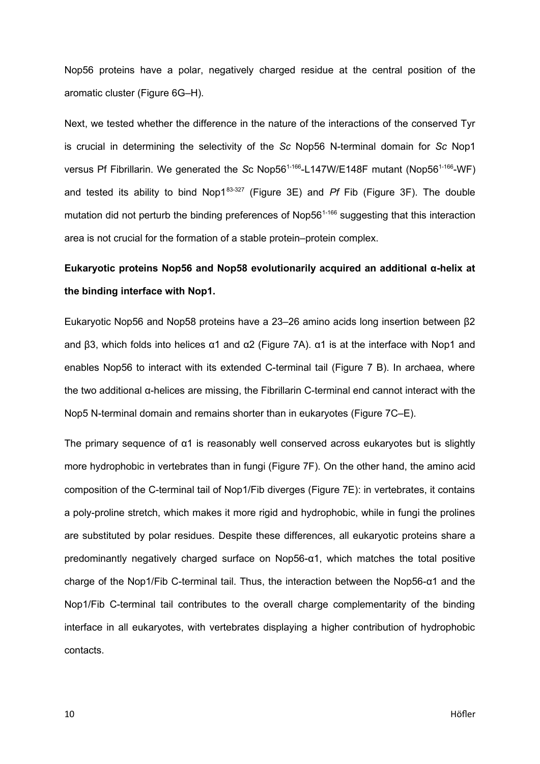Nop56 proteins have a polar, negatively charged residue at the central position of the aromatic cluster (Figure 6G–H).

Next, we tested whether the difference in the nature of the interactions of the conserved Tyr is crucial in determining the selectivity of the *Sc* Nop56 N-terminal domain for *Sc* Nop1 versus Pf Fibrillarin. We generated the *Sc* Nop56<sup>1-166</sup>-L147W/E148F mutant (Nop56<sup>1-166</sup>-WF) and tested its ability to bind Nop183-327 (Figure 3E) and *Pf* Fib (Figure 3F). The double mutation did not perturb the binding preferences of Nop56<sup>1-166</sup> suggesting that this interaction area is not crucial for the formation of a stable protein–protein complex.

# **Eukaryotic proteins Nop56 and Nop58 evolutionarily acquired an additional α-helix at the binding interface with Nop1.**

Eukaryotic Nop56 and Nop58 proteins have a 23–26 amino acids long insertion between β2 and β3, which folds into helices α1 and α2 (Figure 7A). α1 is at the interface with Nop1 and enables Nop56 to interact with its extended C-terminal tail (Figure 7 B). In archaea, where the two additional α-helices are missing, the Fibrillarin C-terminal end cannot interact with the Nop5 N-terminal domain and remains shorter than in eukaryotes (Figure 7C–E).

The primary sequence of α1 is reasonably well conserved across eukaryotes but is slightly more hydrophobic in vertebrates than in fungi (Figure 7F). On the other hand, the amino acid composition of the C-terminal tail of Nop1/Fib diverges (Figure 7E): in vertebrates, it contains a poly-proline stretch, which makes it more rigid and hydrophobic, while in fungi the prolines are substituted by polar residues. Despite these differences, all eukaryotic proteins share a predominantly negatively charged surface on Nop56-α1, which matches the total positive charge of the Nop1/Fib C-terminal tail. Thus, the interaction between the Nop56-α1 and the Nop1/Fib C-terminal tail contributes to the overall charge complementarity of the binding interface in all eukaryotes, with vertebrates displaying a higher contribution of hydrophobic contacts.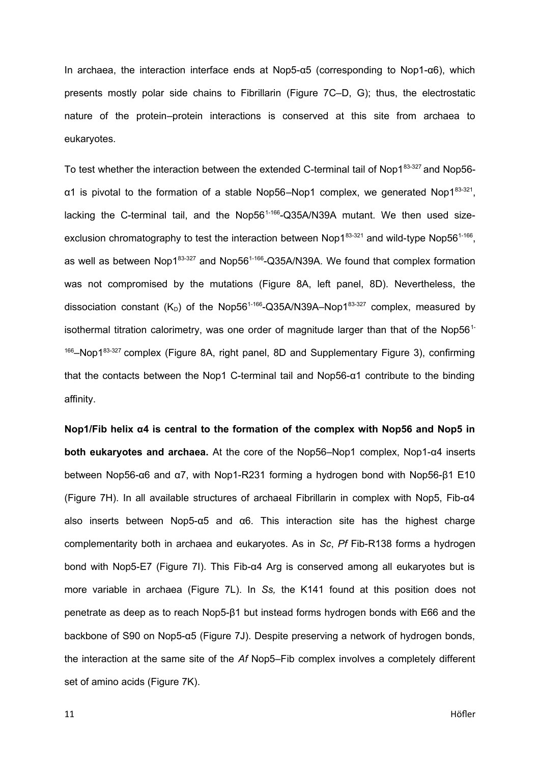In archaea, the interaction interface ends at Nop5-α5 (corresponding to Nop1-α6), which presents mostly polar side chains to Fibrillarin (Figure 7C–D, G); thus, the electrostatic nature of the protein–protein interactions is conserved at this site from archaea to eukaryotes.

To test whether the interaction between the extended C-terminal tail of Nop183-327 and Nop56α1 is pivotal to the formation of a stable Nop56–Nop1 complex, we generated Nop1<sup>83-321</sup>, lacking the C-terminal tail, and the Nop56<sup>1-166</sup>-Q35A/N39A mutant. We then used sizeexclusion chromatography to test the interaction between Nop1 $^{83\text{-}321}$  and wild-type Nop56 $^{1\text{-}166},$ as well as between Nop1 $83-327$  and Nop56<sup>1-166</sup>-Q35A/N39A. We found that complex formation was not compromised by the mutations (Figure 8A, left panel, 8D). Nevertheless, the dissociation constant ( $K_D$ ) of the Nop56<sup>1-166</sup>-Q35A/N39A–Nop1<sup>83-327</sup> complex, measured by isothermal titration calorimetry, was one order of magnitude larger than that of the Nop56<sup>1-</sup>  $166$ –Nop1 $83-327$  complex (Figure 8A, right panel, 8D and Supplementary Figure 3), confirming that the contacts between the Nop1 C-terminal tail and Nop56-α1 contribute to the binding affinity.

**Nop1/Fib helix α4 is central to the formation of the complex with Nop56 and Nop5 in both eukaryotes and archaea.** At the core of the Nop56–Nop1 complex, Nop1-α4 inserts between Nop56-α6 and α7, with Nop1-R231 forming a hydrogen bond with Nop56-β1 E10 (Figure 7H). In all available structures of archaeal Fibrillarin in complex with Nop5, Fib-α4 also inserts between Nop5-α5 and α6. This interaction site has the highest charge complementarity both in archaea and eukaryotes. As in *Sc*, *Pf* Fib-R138 forms a hydrogen bond with Nop5-E7 (Figure 7I). This Fib-α4 Arg is conserved among all eukaryotes but is more variable in archaea (Figure 7L). In *Ss,* the K141 found at this position does not penetrate as deep as to reach Nop5-β1 but instead forms hydrogen bonds with E66 and the backbone of S90 on Nop5-α5 (Figure 7J). Despite preserving a network of hydrogen bonds, the interaction at the same site of the *Af* Nop5–Fib complex involves a completely different set of amino acids (Figure 7K).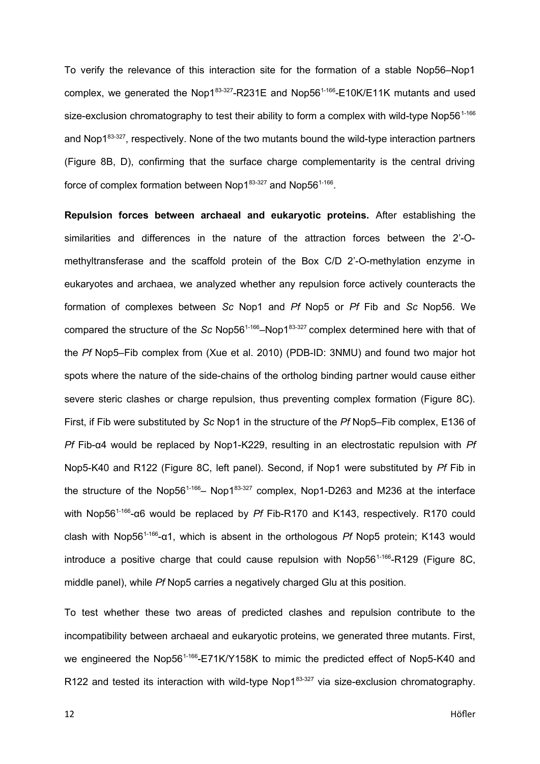To verify the relevance of this interaction site for the formation of a stable Nop56–Nop1 complex, we generated the Nop183-327-R231E and Nop56<sup>1-166</sup>-E10K/E11K mutants and used size-exclusion chromatography to test their ability to form a complex with wild-type Nop56<sup>1-166</sup> and Nop1<sup>83-327</sup>, respectively. None of the two mutants bound the wild-type interaction partners (Figure 8B, D), confirming that the surface charge complementarity is the central driving force of complex formation between Nop1 $83-327$  and Nop56 $1-166$ .

**Repulsion forces between archaeal and eukaryotic proteins.** After establishing the similarities and differences in the nature of the attraction forces between the 2'-Omethyltransferase and the scaffold protein of the Box C/D 2'-O-methylation enzyme in eukaryotes and archaea, we analyzed whether any repulsion force actively counteracts the formation of complexes between *Sc* Nop1 and *Pf* Nop5 or *Pf* Fib and *Sc* Nop56. We compared the structure of the *Sc* Nop56<sup>1-166</sup>–Nop183-327 complex determined here with that of the *Pf* Nop5–Fib complex from (Xue et al. 2010) (PDB-ID: 3NMU) and found two major hot spots where the nature of the side-chains of the ortholog binding partner would cause either severe steric clashes or charge repulsion, thus preventing complex formation (Figure 8C). First, if Fib were substituted by *Sc* Nop1 in the structure of the *Pf* Nop5–Fib complex, E136 of *Pf* Fib-α4 would be replaced by Nop1-K229, resulting in an electrostatic repulsion with *Pf* Nop5-K40 and R122 (Figure 8C, left panel). Second, if Nop1 were substituted by *Pf* Fib in the structure of the Nop56<sup>1-166</sup>– Nop1<sup>83-327</sup> complex, Nop1-D263 and M236 at the interface with Nop56<sup>1-166</sup>-α6 would be replaced by *Pf* Fib-R170 and K143, respectively. R170 could clash with Nop561-166-α1, which is absent in the orthologous *Pf* Nop5 protein; K143 would introduce a positive charge that could cause repulsion with  $Nop56^{1-166}$ -R129 (Figure 8C, middle panel), while *Pf* Nop5 carries a negatively charged Glu at this position.

To test whether these two areas of predicted clashes and repulsion contribute to the incompatibility between archaeal and eukaryotic proteins, we generated three mutants. First, we engineered the Nop56<sup>1-166</sup>-E71K/Y158K to mimic the predicted effect of Nop5-K40 and R122 and tested its interaction with wild-type Nop1 $83-327$  via size-exclusion chromatography.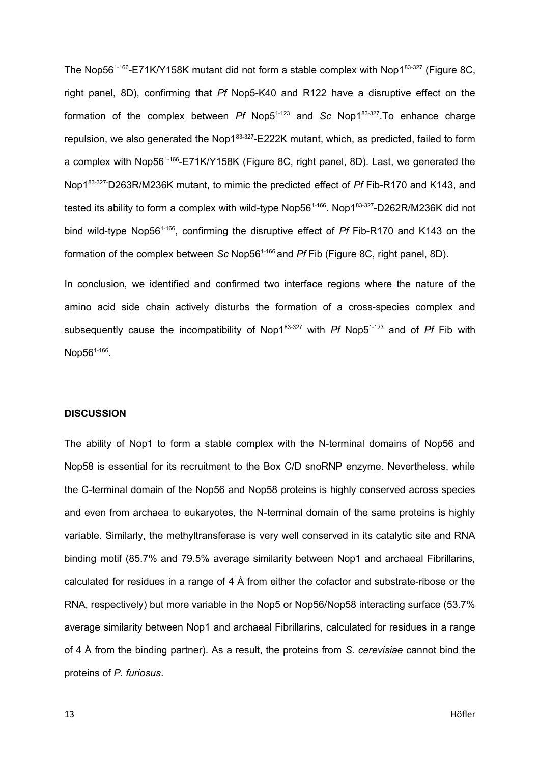The Nop56<sup>1-166</sup>-E71K/Y158K mutant did not form a stable complex with Nop1<sup>83-327</sup> (Figure 8C, right panel, 8D), confirming that *Pf* Nop5-K40 and R122 have a disruptive effect on the formation of the complex between *Pf* Nop5<sup>1-123</sup> and *Sc* Nop1<sup>83-327</sup>. To enhance charge repulsion, we also generated the Nop1 $83-327$ -E222K mutant, which, as predicted, failed to form a complex with Nop56<sup>1-166</sup>-E71K/Y158K (Figure 8C, right panel, 8D). Last, we generated the Nop183-327-D263R/M236K mutant, to mimic the predicted effect of *Pf* Fib-R170 and K143, and tested its ability to form a complex with wild-type Nop56<sup>1-166</sup>. Nop1<sup>83-327</sup>-D262R/M236K did not bind wild-type Nop561-166, confirming the disruptive effect of *Pf* Fib-R170 and K143 on the formation of the complex between *Sc* Nop561-166 and *Pf* Fib (Figure 8C, right panel, 8D).

In conclusion, we identified and confirmed two interface regions where the nature of the amino acid side chain actively disturbs the formation of a cross-species complex and subsequently cause the incompatibility of Nop183-327 with *Pf* Nop51-123 and of *Pf* Fib with Nop56<sup>1-166</sup>.

## **DISCUSSION**

The ability of Nop1 to form a stable complex with the N-terminal domains of Nop56 and Nop58 is essential for its recruitment to the Box C/D snoRNP enzyme. Nevertheless, while the C-terminal domain of the Nop56 and Nop58 proteins is highly conserved across species and even from archaea to eukaryotes, the N-terminal domain of the same proteins is highly variable. Similarly, the methyltransferase is very well conserved in its catalytic site and RNA binding motif (85.7% and 79.5% average similarity between Nop1 and archaeal Fibrillarins, calculated for residues in a range of 4 Å from either the cofactor and substrate-ribose or the RNA, respectively) but more variable in the Nop5 or Nop56/Nop58 interacting surface (53.7% average similarity between Nop1 and archaeal Fibrillarins, calculated for residues in a range of 4 Å from the binding partner). As a result, the proteins from *S. cerevisiae* cannot bind the proteins of *P. furiosus*.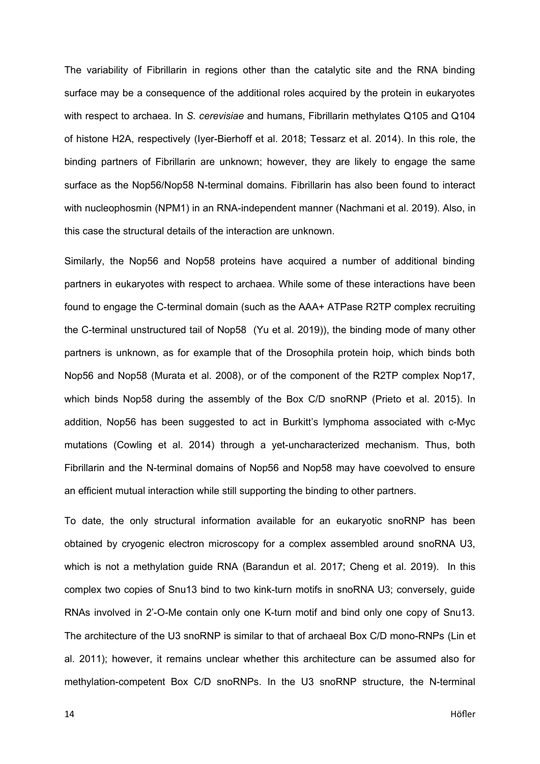The variability of Fibrillarin in regions other than the catalytic site and the RNA binding surface may be a consequence of the additional roles acquired by the protein in eukaryotes with respect to archaea. In *S. cerevisiae* and humans, Fibrillarin methylates Q105 and Q104 of histone H2A, respectively (Iyer-Bierhoff et al. 2018; Tessarz et al. 2014). In this role, the binding partners of Fibrillarin are unknown; however, they are likely to engage the same surface as the Nop56/Nop58 N-terminal domains. Fibrillarin has also been found to interact with nucleophosmin (NPM1) in an RNA-independent manner (Nachmani et al. 2019). Also, in this case the structural details of the interaction are unknown.

Similarly, the Nop56 and Nop58 proteins have acquired a number of additional binding partners in eukaryotes with respect to archaea. While some of these interactions have been found to engage the C-terminal domain (such as the AAA+ ATPase R2TP complex recruiting the C-terminal unstructured tail of Nop58 (Yu et al. 2019)), the binding mode of many other partners is unknown, as for example that of the Drosophila protein hoip, which binds both Nop56 and Nop58 (Murata et al. 2008), or of the component of the R2TP complex Nop17, which binds Nop58 during the assembly of the Box C/D snoRNP (Prieto et al. 2015). In addition, Nop56 has been suggested to act in Burkitt's lymphoma associated with c-Myc mutations (Cowling et al. 2014) through a yet-uncharacterized mechanism. Thus, both Fibrillarin and the N-terminal domains of Nop56 and Nop58 may have coevolved to ensure an efficient mutual interaction while still supporting the binding to other partners.

To date, the only structural information available for an eukaryotic snoRNP has been obtained by cryogenic electron microscopy for a complex assembled around snoRNA U3, which is not a methylation guide RNA (Barandun et al. 2017; Cheng et al. 2019). In this complex two copies of Snu13 bind to two kink-turn motifs in snoRNA U3; conversely, guide RNAs involved in 2'-O-Me contain only one K-turn motif and bind only one copy of Snu13. The architecture of the U3 snoRNP is similar to that of archaeal Box C/D mono-RNPs (Lin et al. 2011); however, it remains unclear whether this architecture can be assumed also for methylation-competent Box C/D snoRNPs. In the U3 snoRNP structure, the N-terminal

14 Höfler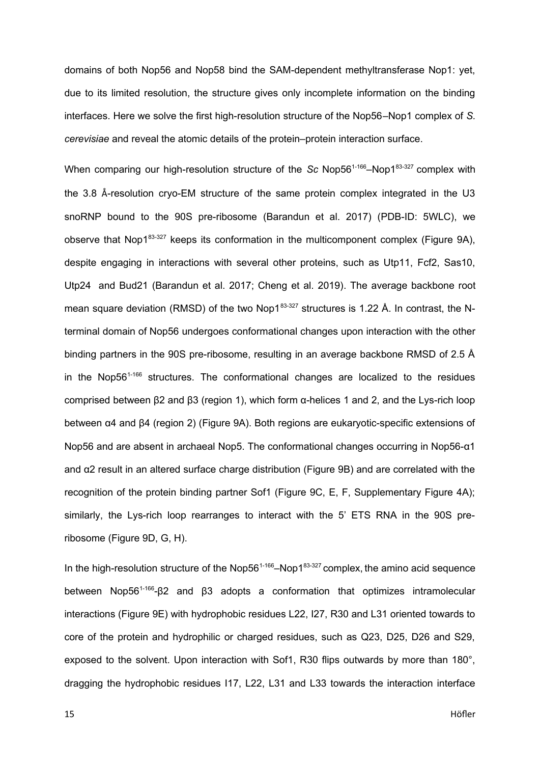domains of both Nop56 and Nop58 bind the SAM-dependent methyltransferase Nop1: yet, due to its limited resolution, the structure gives only incomplete information on the binding interfaces. Here we solve the first high-resolution structure of the Nop56–Nop1 complex of *S. cerevisiae* and reveal the atomic details of the protein–protein interaction surface.

When comparing our high-resolution structure of the *Sc* Nop56<sup>1-166</sup>–Nop1<sup>83-327</sup> complex with the 3.8 Å-resolution cryo-EM structure of the same protein complex integrated in the U3 snoRNP bound to the 90S pre-ribosome (Barandun et al. 2017) (PDB-ID: 5WLC), we observe that Nop183-327 keeps its conformation in the multicomponent complex (Figure 9A), despite engaging in interactions with several other proteins, such as Utp11, Fcf2, Sas10, Utp24 and Bud21 (Barandun et al. 2017; Cheng et al. 2019). The average backbone root mean square deviation (RMSD) of the two Nop183-327 structures is 1.22 Å. In contrast, the Nterminal domain of Nop56 undergoes conformational changes upon interaction with the other binding partners in the 90S pre-ribosome, resulting in an average backbone RMSD of 2.5 Å in the Nop $56^{1.166}$  structures. The conformational changes are localized to the residues comprised between β2 and β3 (region 1), which form α-helices 1 and 2, and the Lys-rich loop between α4 and β4 (region 2) (Figure 9A). Both regions are eukaryotic-specific extensions of Nop56 and are absent in archaeal Nop5. The conformational changes occurring in Nop56-α1 and α2 result in an altered surface charge distribution (Figure 9B) and are correlated with the recognition of the protein binding partner Sof1 (Figure 9C, E, F, Supplementary Figure 4A); similarly, the Lys-rich loop rearranges to interact with the 5' ETS RNA in the 90S preribosome (Figure 9D, G, H).

In the high-resolution structure of the Nop56<sup>1-166</sup>–Nop1<sup>83-327</sup> complex, the amino acid sequence between Nop56<sup>1-166</sup>-β2 and β3 adopts a conformation that optimizes intramolecular interactions (Figure 9E) with hydrophobic residues L22, I27, R30 and L31 oriented towards to core of the protein and hydrophilic or charged residues, such as Q23, D25, D26 and S29, exposed to the solvent. Upon interaction with Sof1, R30 flips outwards by more than 180°, dragging the hydrophobic residues I17, L22, L31 and L33 towards the interaction interface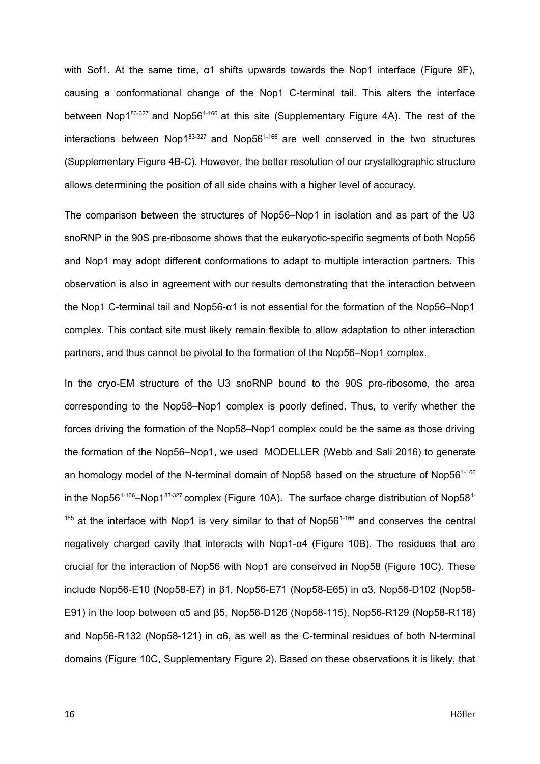with Sof1. At the same time, α1 shifts upwards towards the Nop1 interface (Figure 9F), causing a conformational change of the Nop1 C-terminal tail. This alters the interface between Nop1 $83-327$  and Nop56<sup>1-166</sup> at this site (Supplementary Figure 4A). The rest of the interactions between Nop1 $83-327$  and Nop56<sup>1-166</sup> are well conserved in the two structures (Supplementary Figure 4B-C). However, the better resolution of our crystallographic structure allows determining the position of all side chains with a higher level of accuracy.

The comparison between the structures of Nop56–Nop1 in isolation and as part of the U3 snoRNP in the 90S pre-ribosome shows that the eukaryotic-specific segments of both Nop56 and Nop1 may adopt different conformations to adapt to multiple interaction partners. This observation is also in agreement with our results demonstrating that the interaction between the Nop1 C-terminal tail and Nop56-α1 is not essential for the formation of the Nop56–Nop1 complex. This contact site must likely remain flexible to allow adaptation to other interaction partners, and thus cannot be pivotal to the formation of the Nop56–Nop1 complex.

In the cryo-EM structure of the U3 snoRNP bound to the 90S pre-ribosome, the area corresponding to the Nop58–Nop1 complex is poorly defined. Thus, to verify whether the forces driving the formation of the Nop58–Nop1 complex could be the same as those driving the formation of the Nop56–Nop1, we used MODELLER (Webb and Sali 2016) to generate an homology model of the N-terminal domain of Nop58 based on the structure of Nop56<sup>1-166</sup> in the Nop56<sup>1-166</sup>–Nop1<sup>83-327</sup> complex (Figure 10A). The surface charge distribution of Nop58<sup>1-1</sup>  $155$  at the interface with Nop1 is very similar to that of Nop56<sup>1-166</sup> and conserves the central negatively charged cavity that interacts with Nop1-α4 (Figure 10B). The residues that are crucial for the interaction of Nop56 with Nop1 are conserved in Nop58 (Figure 10C). These include Nop56-E10 (Nop58-E7) in β1, Nop56-E71 (Nop58-E65) in α3, Nop56-D102 (Nop58- E91) in the loop between α5 and β5, Nop56-D126 (Nop58-115), Nop56-R129 (Nop58-R118) and Nop56-R132 (Nop58-121) in α6, as well as the C-terminal residues of both N-terminal domains (Figure 10C, Supplementary Figure 2). Based on these observations it is likely, that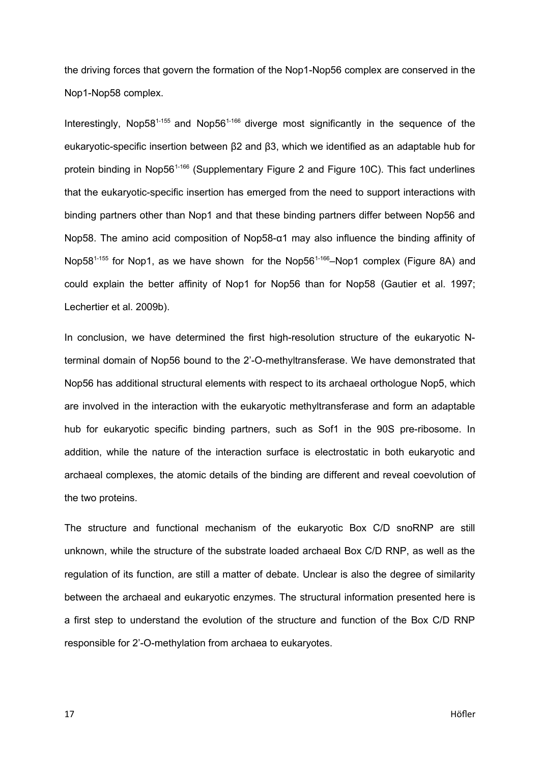the driving forces that govern the formation of the Nop1-Nop56 complex are conserved in the Nop1-Nop58 complex.

Interestingly, Nop58<sup>1-155</sup> and Nop56<sup>1-166</sup> diverge most significantly in the sequence of the eukaryotic-specific insertion between β2 and β3, which we identified as an adaptable hub for protein binding in Nop56<sup>1-166</sup> (Supplementary Figure 2 and Figure 10C). This fact underlines that the eukaryotic-specific insertion has emerged from the need to support interactions with binding partners other than Nop1 and that these binding partners differ between Nop56 and Nop58. The amino acid composition of Nop58-α1 may also influence the binding affinity of Nop58<sup>1-155</sup> for Nop1, as we have shown for the Nop56<sup>1-166</sup>–Nop1 complex (Figure 8A) and could explain the better affinity of Nop1 for Nop56 than for Nop58 (Gautier et al. 1997; Lechertier et al. 2009b).

In conclusion, we have determined the first high-resolution structure of the eukaryotic Nterminal domain of Nop56 bound to the 2'-O-methyltransferase. We have demonstrated that Nop56 has additional structural elements with respect to its archaeal orthologue Nop5, which are involved in the interaction with the eukaryotic methyltransferase and form an adaptable hub for eukaryotic specific binding partners, such as Sof1 in the 90S pre-ribosome. In addition, while the nature of the interaction surface is electrostatic in both eukaryotic and archaeal complexes, the atomic details of the binding are different and reveal coevolution of the two proteins.

The structure and functional mechanism of the eukaryotic Box C/D snoRNP are still unknown, while the structure of the substrate loaded archaeal Box C/D RNP, as well as the regulation of its function, are still a matter of debate. Unclear is also the degree of similarity between the archaeal and eukaryotic enzymes. The structural information presented here is a first step to understand the evolution of the structure and function of the Box C/D RNP responsible for 2'-O-methylation from archaea to eukaryotes.

17 Höfler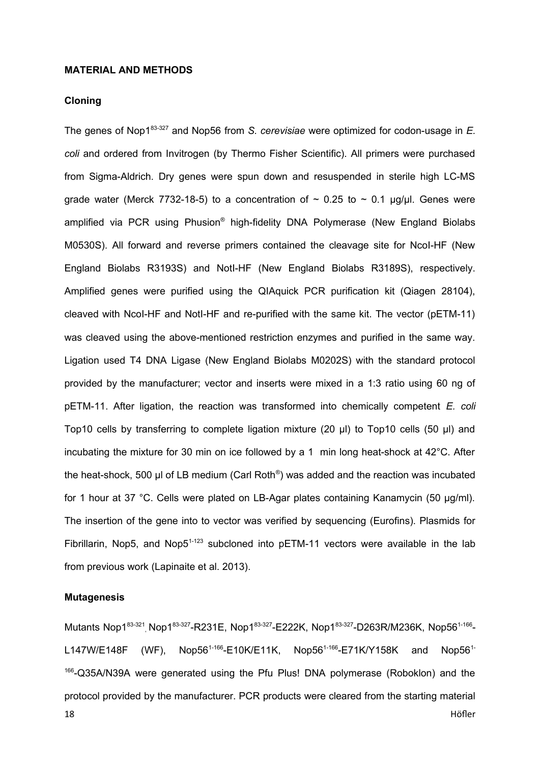## **MATERIAL AND METHODS**

## **Cloning**

The genes of Nop183-327 and Nop56 from *S. cerevisiae* were optimized for codon-usage in *E. coli* and ordered from Invitrogen (by Thermo Fisher Scientific). All primers were purchased from Sigma-Aldrich. Dry genes were spun down and resuspended in sterile high LC-MS grade water (Merck 7732-18-5) to a concentration of  $\sim$  0.25 to  $\sim$  0.1 µg/µl. Genes were amplified via PCR using Phusion® high-fidelity DNA Polymerase (New England Biolabs M0530S). All forward and reverse primers contained the cleavage site for NcoI-HF (New England Biolabs R3193S) and NotI-HF (New England Biolabs R3189S), respectively. Amplified genes were purified using the QIAquick PCR purification kit (Qiagen 28104), cleaved with NcoI-HF and NotI-HF and re-purified with the same kit. The vector (pETM-11) was cleaved using the above-mentioned restriction enzymes and purified in the same way. Ligation used T4 DNA Ligase (New England Biolabs M0202S) with the standard protocol provided by the manufacturer; vector and inserts were mixed in a 1:3 ratio using 60 ng of pETM-11. After ligation, the reaction was transformed into chemically competent *E. coli* Top10 cells by transferring to complete ligation mixture (20 µl) to Top10 cells (50 µl) and incubating the mixture for 30 min on ice followed by a 1 min long heat-shock at 42°C. After the heat-shock, 500 μl of LB medium (Carl Roth<sup>®</sup>) was added and the reaction was incubated for 1 hour at 37 °C. Cells were plated on LB-Agar plates containing Kanamycin (50 µg/ml). The insertion of the gene into to vector was verified by sequencing (Eurofins). Plasmids for Fibrillarin, Nop5, and Nop $5^{1-123}$  subcloned into pETM-11 vectors were available in the lab from previous work (Lapinaite et al. 2013).

## **Mutagenesis**

Mutants Nop1<sup>83-321</sup>, Nop1<sup>83-327</sup>-R231E, Nop1<sup>83-327</sup>-E222K, Nop1<sup>83-327</sup>-D263R/M236K, Nop56<sup>1-166</sup>-L147W/E148F (WF), Nop56<sup>1-166</sup>-E10K/E11K, Nop56<sup>1-166</sup>-E71K/Y158K and Nop56<sup>1-166</sup> <sup>166</sup>-Q35A/N39A were generated using the Pfu Plus! DNA polymerase (Roboklon) and the protocol provided by the manufacturer. PCR products were cleared from the starting material 18 Höfler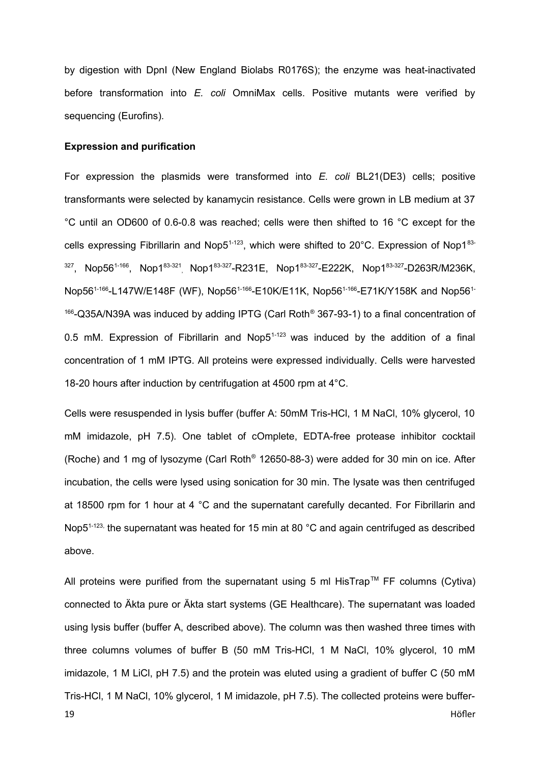by digestion with DpnI (New England Biolabs R0176S); the enzyme was heat-inactivated before transformation into *E. coli* OmniMax cells. Positive mutants were verified by sequencing (Eurofins).

# **Expression and purification**

For expression the plasmids were transformed into *E. coli* BL21(DE3) cells; positive transformants were selected by kanamycin resistance. Cells were grown in LB medium at 37 °C until an OD600 of 0.6-0.8 was reached; cells were then shifted to 16 °C except for the cells expressing Fibrillarin and Nop5<sup>1-123</sup>, which were shifted to 20°C. Expression of Nop1<sup>83-</sup> <sup>327</sup>, Nop56<sup>1-166</sup>, Nop1<sup>83-321</sup>, Nop1<sup>83-327</sup>-R231E, Nop1<sup>83-327</sup>-E222K, Nop1<sup>83-327</sup>-D263R/M236K, Nop56<sup>1-166</sup>-L147W/E148F (WF), Nop56<sup>1-166</sup>-E10K/E11K, Nop56<sup>1-166</sup>-E71K/Y158K and Nop56<sup>1-166</sup>  $166$ -Q35A/N39A was induced by adding IPTG (Carl Roth® 367-93-1) to a final concentration of 0.5 mM. Expression of Fibrillarin and Nop $5^{1-123}$  was induced by the addition of a final concentration of 1 mM IPTG. All proteins were expressed individually. Cells were harvested 18-20 hours after induction by centrifugation at 4500 rpm at 4°C.

Cells were resuspended in lysis buffer (buffer A: 50mM Tris-HCl, 1 M NaCl, 10% glycerol, 10 mM imidazole, pH 7.5). One tablet of cOmplete, EDTA-free protease inhibitor cocktail (Roche) and 1 mg of lysozyme (Carl Roth® 12650-88-3) were added for 30 min on ice. After incubation, the cells were lysed using sonication for 30 min. The lysate was then centrifuged at 18500 rpm for 1 hour at 4 °C and the supernatant carefully decanted. For Fibrillarin and Nop5<sup>1-123,</sup> the supernatant was heated for 15 min at 80 °C and again centrifuged as described above.

All proteins were purified from the supernatant using 5 ml HisTrap<sup>TM</sup> FF columns (Cytiva) connected to Äkta pure or Äkta start systems (GE Healthcare). The supernatant was loaded using lysis buffer (buffer A, described above). The column was then washed three times with three columns volumes of buffer B (50 mM Tris-HCl, 1 M NaCl, 10% glycerol, 10 mM imidazole, 1 M LiCl, pH 7.5) and the protein was eluted using a gradient of buffer C (50 mM Tris-HCl, 1 M NaCl, 10% glycerol, 1 M imidazole, pH 7.5). The collected proteins were buffer-19 Höfler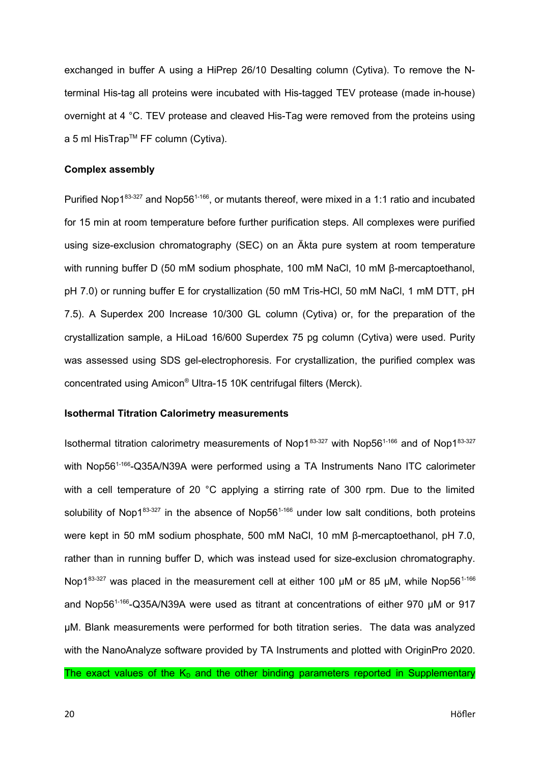exchanged in buffer A using a HiPrep 26/10 Desalting column (Cytiva). To remove the Nterminal His-tag all proteins were incubated with His-tagged TEV protease (made in-house) overnight at 4 °C. TEV protease and cleaved His-Tag were removed from the proteins using a 5 ml HisTrap™ FF column (Cytiva).

# **Complex assembly**

Purified Nop1 $83-327$  and Nop56<sup>1-166</sup>, or mutants thereof, were mixed in a 1:1 ratio and incubated for 15 min at room temperature before further purification steps. All complexes were purified using size-exclusion chromatography (SEC) on an Äkta pure system at room temperature with running buffer D (50 mM sodium phosphate, 100 mM NaCl, 10 mM β-mercaptoethanol, pH 7.0) or running buffer E for crystallization (50 mM Tris-HCl, 50 mM NaCl, 1 mM DTT, pH 7.5). A Superdex 200 Increase 10/300 GL column (Cytiva) or, for the preparation of the crystallization sample, a HiLoad 16/600 Superdex 75 pg column (Cytiva) were used. Purity was assessed using SDS gel-electrophoresis. For crystallization, the purified complex was concentrated using Amicon® Ultra-15 10K centrifugal filters (Merck).

# **Isothermal Titration Calorimetry measurements**

Isothermal titration calorimetry measurements of Nop1 $83-327$  with Nop56<sup>1-166</sup> and of Nop1 $83-327$ with Nop56<sup>1-166</sup>-Q35A/N39A were performed using a TA Instruments Nano ITC calorimeter with a cell temperature of 20 °C applying a stirring rate of 300 rpm. Due to the limited solubility of Nop1 $83-327$  in the absence of Nop56<sup>1-166</sup> under low salt conditions, both proteins were kept in 50 mM sodium phosphate, 500 mM NaCl, 10 mM β-mercaptoethanol, pH 7.0, rather than in running buffer D, which was instead used for size-exclusion chromatography. Nop183-327 was placed in the measurement cell at either 100  $\mu$ M or 85  $\mu$ M, while Nop56<sup>1-166</sup> and Nop56<sup>1-166</sup>-Q35A/N39A were used as titrant at concentrations of either 970 µM or 917 µM. Blank measurements were performed for both titration series. The data was analyzed with the NanoAnalyze software provided by TA Instruments and plotted with OriginPro 2020. The exact values of the  $K_D$  and the other binding parameters reported in Supplementary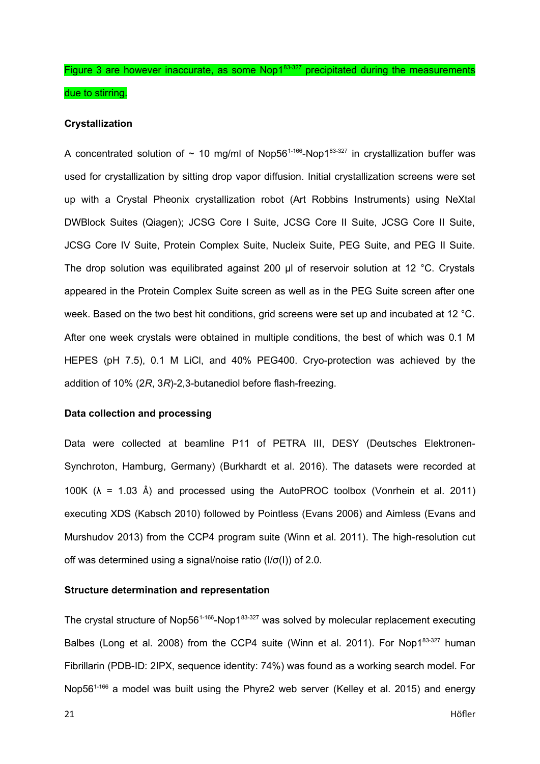Figure 3 are however inaccurate, as some  $Nop1<sup>83-327</sup>$  precipitated during the measurements due to stirring.

#### **Crystallization**

A concentrated solution of  $\sim$  10 mg/ml of Nop56<sup>1-166</sup>-Nop1<sup>83-327</sup> in crystallization buffer was used for crystallization by sitting drop vapor diffusion. Initial crystallization screens were set up with a Crystal Pheonix crystallization robot (Art Robbins Instruments) using NeXtal DWBlock Suites (Qiagen); JCSG Core I Suite, JCSG Core II Suite, JCSG Core II Suite, JCSG Core IV Suite, Protein Complex Suite, Nucleix Suite, PEG Suite, and PEG II Suite. The drop solution was equilibrated against 200 µl of reservoir solution at 12 °C. Crystals appeared in the Protein Complex Suite screen as well as in the PEG Suite screen after one week. Based on the two best hit conditions, grid screens were set up and incubated at 12 °C. After one week crystals were obtained in multiple conditions, the best of which was 0.1 M HEPES (pH 7.5), 0.1 M LiCl, and 40% PEG400. Cryo-protection was achieved by the addition of 10% (2*R*, 3*R*)-2,3-butanediol before flash-freezing.

# **Data collection and processing**

Data were collected at beamline P11 of PETRA III, DESY (Deutsches Elektronen-Synchroton, Hamburg, Germany) (Burkhardt et al. 2016). The datasets were recorded at 100K ( $\lambda$  = 1.03 Å) and processed using the AutoPROC toolbox (Vonrhein et al. 2011) executing XDS (Kabsch 2010) followed by Pointless (Evans 2006) and Aimless (Evans and Murshudov 2013) from the CCP4 program suite (Winn et al. 2011). The high-resolution cut off was determined using a signal/noise ratio (I/σ(I)) of 2.0.

## **Structure determination and representation**

The crystal structure of Nop56<sup>1-166</sup>-Nop1 $^{83-327}$  was solved by molecular replacement executing Balbes (Long et al. 2008) from the CCP4 suite (Winn et al. 2011). For Nop183-327 human Fibrillarin (PDB-ID: 2IPX, sequence identity: 74%) was found as a working search model. For Nop56<sup>1-166</sup> a model was built using the Phyre2 web server (Kelley et al. 2015) and energy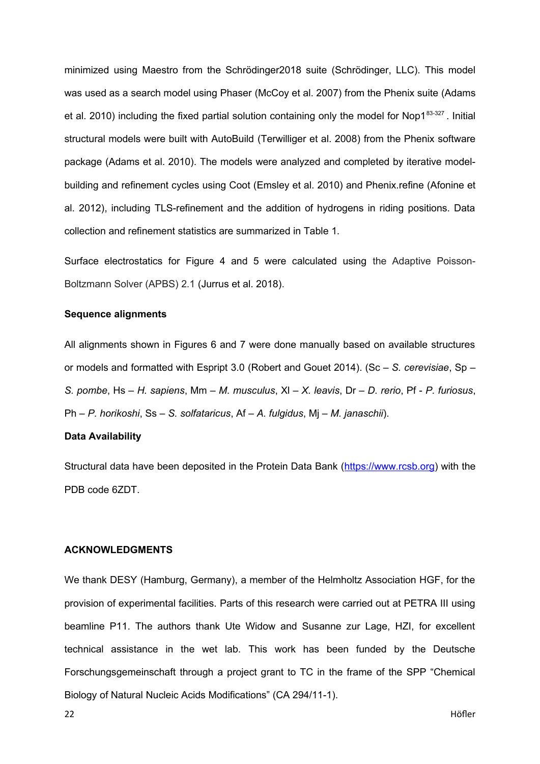minimized using Maestro from the Schrödinger2018 suite (Schrödinger, LLC). This model was used as a search model using Phaser (McCoy et al. 2007) from the Phenix suite (Adams et al. 2010) including the fixed partial solution containing only the model for Nop183-327. Initial structural models were built with AutoBuild (Terwilliger et al. 2008) from the Phenix software package (Adams et al. 2010). The models were analyzed and completed by iterative modelbuilding and refinement cycles using Coot (Emsley et al. 2010) and Phenix.refine (Afonine et al. 2012), including TLS-refinement and the addition of hydrogens in riding positions. Data collection and refinement statistics are summarized in Table 1.

Surface electrostatics for Figure 4 and 5 were calculated using the Adaptive Poisson-Boltzmann Solver (APBS) 2.1 (Jurrus et al. 2018).

## **Sequence alignments**

All alignments shown in Figures 6 and 7 were done manually based on available structures or models and formatted with Espript 3.0 (Robert and Gouet 2014). (Sc – *S. cerevisiae*, Sp – *S. pombe*, Hs – *H. sapiens*, Mm – *M. musculus*, Xl – *X. leavis*, Dr – *D. rerio*, Pf - *P. furiosus*, Ph – *P. horikoshi*, Ss – *S. solfataricus*, Af – *A. fulgidus*, Mj – *M. janaschii*).

## **Data Availability**

Structural data have been deposited in the Protein Data Bank ([https://www.rcsb.org](https://www.rcsb.org/)) with the PDB code 6ZDT.

#### **ACKNOWLEDGMENTS**

We thank DESY (Hamburg, Germany), a member of the Helmholtz Association HGF, for the provision of experimental facilities. Parts of this research were carried out at PETRA III using beamline P11. The authors thank Ute Widow and Susanne zur Lage, HZI, for excellent technical assistance in the wet lab. This work has been funded by the Deutsche Forschungsgemeinschaft through a project grant to TC in the frame of the SPP "Chemical Biology of Natural Nucleic Acids Modifications" (CA 294/11-1).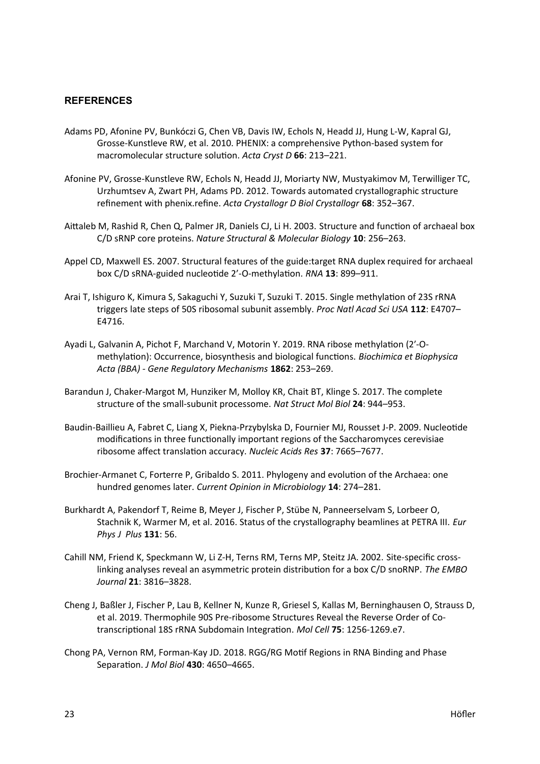# **REFERENCES**

- Adams PD, Afonine PV, Bunkóczi G, Chen VB, Davis IW, Echols N, Headd JJ, Hung L-W, Kapral GJ, Grosse-Kunstleve RW, et al. 2010. PHENIX: a comprehensive Python-based system for macromolecular structure solution. *Acta Cryst D* **66**: 213–221.
- Afonine PV, Grosse-Kunstleve RW, Echols N, Headd JJ, Moriarty NW, Mustyakimov M, Terwilliger TC, Urzhumtsev A, Zwart PH, Adams PD. 2012. Towards automated crystallographic structure refinement with phenix.refine. *Acta Crystallogr D Biol Crystallogr* **68**: 352–367.
- Aittaleb M, Rashid R, Chen Q, Palmer JR, Daniels CJ, Li H. 2003. Structure and function of archaeal box C/D sRNP core proteins. *Nature Structural & Molecular Biology* **10**: 256–263.
- Appel CD, Maxwell ES. 2007. Structural features of the guide:target RNA duplex required for archaeal box C/D sRNA-guided nucleotide 2'-O-methylation. *RNA* **13**: 899–911.
- Arai T, Ishiguro K, Kimura S, Sakaguchi Y, Suzuki T, Suzuki T. 2015. Single methylation of 23S rRNA triggers late steps of 50S ribosomal subunit assembly. *Proc Natl Acad Sci USA* **112**: E4707– E4716.
- Ayadi L, Galvanin A, Pichot F, Marchand V, Motorin Y. 2019. RNA ribose methylation (2′-Omethylation): Occurrence, biosynthesis and biological functions. *Biochimica et Biophysica Acta (BBA) - Gene Regulatory Mechanisms* **1862**: 253–269.
- Barandun J, Chaker-Margot M, Hunziker M, Molloy KR, Chait BT, Klinge S. 2017. The complete structure of the small-subunit processome. *Nat Struct Mol Biol* **24**: 944–953.
- Baudin-Baillieu A, Fabret C, Liang X, Piekna-Przybylska D, Fournier MJ, Rousset J-P. 2009. Nucleotide modifications in three functionally important regions of the Saccharomyces cerevisiae ribosome affect translation accuracy. *Nucleic Acids Res* **37**: 7665–7677.
- Brochier-Armanet C, Forterre P, Gribaldo S. 2011. Phylogeny and evolution of the Archaea: one hundred genomes later. *Current Opinion in Microbiology* **14**: 274–281.
- Burkhardt A, Pakendorf T, Reime B, Meyer J, Fischer P, Stübe N, Panneerselvam S, Lorbeer O, Stachnik K, Warmer M, et al. 2016. Status of the crystallography beamlines at PETRA III. *Eur Phys J Plus* **131**: 56.
- Cahill NM, Friend K, Speckmann W, Li Z-H, Terns RM, Terns MP, Steitz JA. 2002. Site-specific crosslinking analyses reveal an asymmetric protein distribution for a box C/D snoRNP. *The EMBO Journal* **21**: 3816–3828.
- Cheng J, Baßler J, Fischer P, Lau B, Kellner N, Kunze R, Griesel S, Kallas M, Berninghausen O, Strauss D, et al. 2019. Thermophile 90S Pre-ribosome Structures Reveal the Reverse Order of Cotranscriptional 18S rRNA Subdomain Integration. *Mol Cell* **75**: 1256-1269.e7.
- Chong PA, Vernon RM, Forman-Kay JD. 2018. RGG/RG Motif Regions in RNA Binding and Phase Separation. *J Mol Biol* **430**: 4650–4665.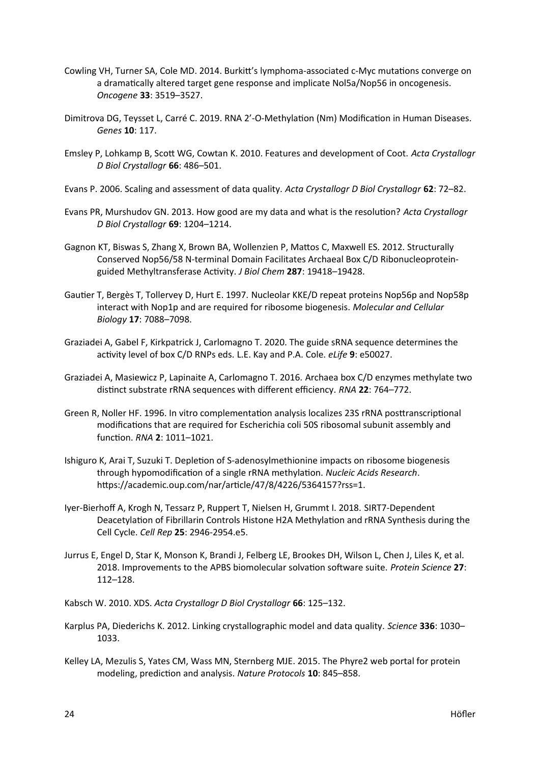- Cowling VH, Turner SA, Cole MD. 2014. Burkitt's lymphoma-associated c-Myc mutations converge on a dramatically altered target gene response and implicate Nol5a/Nop56 in oncogenesis. *Oncogene* **33**: 3519–3527.
- Dimitrova DG, Teysset L, Carré C. 2019. RNA 2'-O-Methylation (Nm) Modification in Human Diseases. *Genes* **10**: 117.
- Emsley P, Lohkamp B, Scott WG, Cowtan K. 2010. Features and development of Coot. *Acta Crystallogr D Biol Crystallogr* **66**: 486–501.
- Evans P. 2006. Scaling and assessment of data quality. *Acta Crystallogr D Biol Crystallogr* **62**: 72–82.
- Evans PR, Murshudov GN. 2013. How good are my data and what is the resolution? *Acta Crystallogr D Biol Crystallogr* **69**: 1204–1214.
- Gagnon KT, Biswas S, Zhang X, Brown BA, Wollenzien P, Mattos C, Maxwell ES. 2012. Structurally Conserved Nop56/58 N-terminal Domain Facilitates Archaeal Box C/D Ribonucleoproteinguided Methyltransferase Activity. *J Biol Chem* **287**: 19418–19428.
- Gautier T, Bergès T, Tollervey D, Hurt E. 1997. Nucleolar KKE/D repeat proteins Nop56p and Nop58p interact with Nop1p and are required for ribosome biogenesis. *Molecular and Cellular Biology* **17**: 7088–7098.
- Graziadei A, Gabel F, Kirkpatrick J, Carlomagno T. 2020. The guide sRNA sequence determines the activity level of box C/D RNPs eds. L.E. Kay and P.A. Cole. *eLife* **9**: e50027.
- Graziadei A, Masiewicz P, Lapinaite A, Carlomagno T. 2016. Archaea box C/D enzymes methylate two distinct substrate rRNA sequences with different efficiency. *RNA* **22**: 764–772.
- Green R, Noller HF. 1996. In vitro complementation analysis localizes 23S rRNA posttranscriptional modifications that are required for Escherichia coli 50S ribosomal subunit assembly and function. *RNA* **2**: 1011–1021.
- Ishiguro K, Arai T, Suzuki T. Depletion of S-adenosylmethionine impacts on ribosome biogenesis through hypomodification of a single rRNA methylation. *Nucleic Acids Research*. https://academic.oup.com/nar/article/47/8/4226/5364157?rss=1.
- Iyer-Bierhoff A, Krogh N, Tessarz P, Ruppert T, Nielsen H, Grummt I. 2018. SIRT7-Dependent Deacetylation of Fibrillarin Controls Histone H2A Methylation and rRNA Synthesis during the Cell Cycle. *Cell Rep* **25**: 2946-2954.e5.
- Jurrus E, Engel D, Star K, Monson K, Brandi J, Felberg LE, Brookes DH, Wilson L, Chen J, Liles K, et al. 2018. Improvements to the APBS biomolecular solvation software suite. *Protein Science* **27**: 112–128.
- Kabsch W. 2010. XDS. *Acta Crystallogr D Biol Crystallogr* **66**: 125–132.
- Karplus PA, Diederichs K. 2012. Linking crystallographic model and data quality. *Science* **336**: 1030– 1033.
- Kelley LA, Mezulis S, Yates CM, Wass MN, Sternberg MJE. 2015. The Phyre2 web portal for protein modeling, prediction and analysis. *Nature Protocols* **10**: 845–858.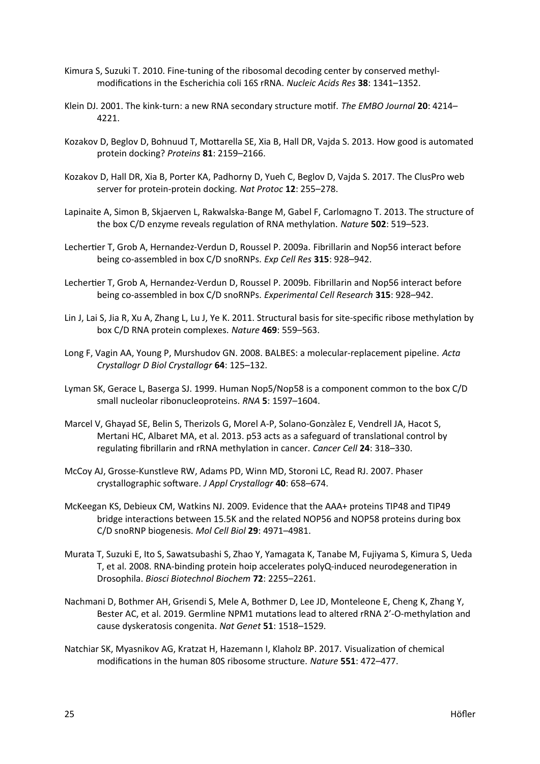- Kimura S, Suzuki T. 2010. Fine-tuning of the ribosomal decoding center by conserved methylmodifications in the Escherichia coli 16S rRNA. *Nucleic Acids Res* **38**: 1341–1352.
- Klein DJ. 2001. The kink-turn: a new RNA secondary structure motif. *The EMBO Journal* **20**: 4214– 4221.
- Kozakov D, Beglov D, Bohnuud T, Mottarella SE, Xia B, Hall DR, Vajda S. 2013. How good is automated protein docking? *Proteins* **81**: 2159–2166.
- Kozakov D, Hall DR, Xia B, Porter KA, Padhorny D, Yueh C, Beglov D, Vajda S. 2017. The ClusPro web server for protein-protein docking. *Nat Protoc* **12**: 255–278.
- Lapinaite A, Simon B, Skjaerven L, Rakwalska-Bange M, Gabel F, Carlomagno T. 2013. The structure of the box C/D enzyme reveals regulation of RNA methylation. *Nature* **502**: 519–523.
- Lechertier T, Grob A, Hernandez-Verdun D, Roussel P. 2009a. Fibrillarin and Nop56 interact before being co-assembled in box C/D snoRNPs. *Exp Cell Res* **315**: 928–942.
- Lechertier T, Grob A, Hernandez-Verdun D, Roussel P. 2009b. Fibrillarin and Nop56 interact before being co-assembled in box C/D snoRNPs. *Experimental Cell Research* **315**: 928–942.
- Lin J, Lai S, Jia R, Xu A, Zhang L, Lu J, Ye K. 2011. Structural basis for site-specific ribose methylation by box C/D RNA protein complexes. *Nature* **469**: 559–563.
- Long F, Vagin AA, Young P, Murshudov GN. 2008. BALBES: a molecular-replacement pipeline. *Acta Crystallogr D Biol Crystallogr* **64**: 125–132.
- Lyman SK, Gerace L, Baserga SJ. 1999. Human Nop5/Nop58 is a component common to the box C/D small nucleolar ribonucleoproteins. *RNA* **5**: 1597–1604.
- Marcel V, Ghayad SE, Belin S, Therizols G, Morel A-P, Solano-Gonzàlez E, Vendrell JA, Hacot S, Mertani HC, Albaret MA, et al. 2013. p53 acts as a safeguard of translational control by regulating fibrillarin and rRNA methylation in cancer. *Cancer Cell* **24**: 318–330.
- McCoy AJ, Grosse-Kunstleve RW, Adams PD, Winn MD, Storoni LC, Read RJ. 2007. Phaser crystallographic software. *J Appl Crystallogr* **40**: 658–674.
- McKeegan KS, Debieux CM, Watkins NJ. 2009. Evidence that the AAA+ proteins TIP48 and TIP49 bridge interactions between 15.5K and the related NOP56 and NOP58 proteins during box C/D snoRNP biogenesis. *Mol Cell Biol* **29**: 4971–4981.
- Murata T, Suzuki E, Ito S, Sawatsubashi S, Zhao Y, Yamagata K, Tanabe M, Fujiyama S, Kimura S, Ueda T, et al. 2008. RNA-binding protein hoip accelerates polyQ-induced neurodegeneration in Drosophila. *Biosci Biotechnol Biochem* **72**: 2255–2261.
- Nachmani D, Bothmer AH, Grisendi S, Mele A, Bothmer D, Lee JD, Monteleone E, Cheng K, Zhang Y, Bester AC, et al. 2019. Germline NPM1 mutations lead to altered rRNA 2'-O-methylation and cause dyskeratosis congenita. *Nat Genet* **51**: 1518–1529.
- Natchiar SK, Myasnikov AG, Kratzat H, Hazemann I, Klaholz BP. 2017. Visualization of chemical modifications in the human 80S ribosome structure. *Nature* **551**: 472–477.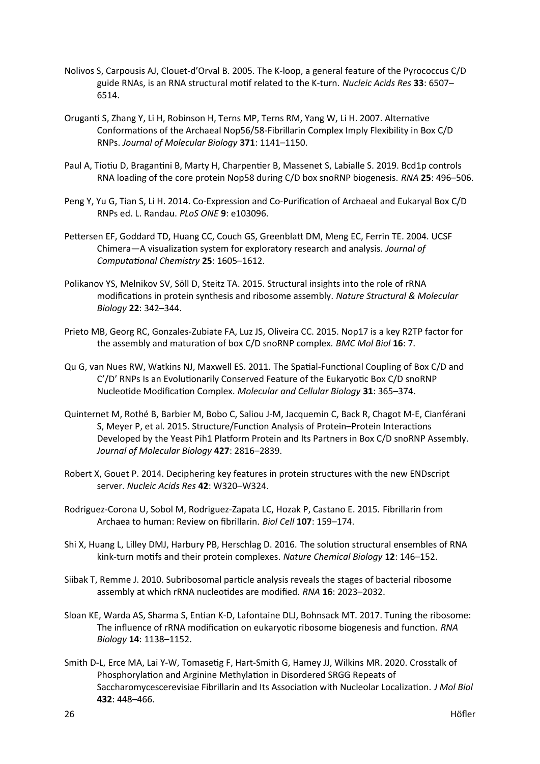- Nolivos S, Carpousis AJ, Clouet-d'Orval B. 2005. The K-loop, a general feature of the Pyrococcus C/D guide RNAs, is an RNA structural motif related to the K-turn. *Nucleic Acids Res* **33**: 6507– 6514.
- Oruganti S, Zhang Y, Li H, Robinson H, Terns MP, Terns RM, Yang W, Li H. 2007. Alternative Conformations of the Archaeal Nop56/58-Fibrillarin Complex Imply Flexibility in Box C/D RNPs. *Journal of Molecular Biology* **371**: 1141–1150.
- Paul A, Tiotiu D, Bragantini B, Marty H, Charpentier B, Massenet S, Labialle S. 2019. Bcd1p controls RNA loading of the core protein Nop58 during C/D box snoRNP biogenesis. *RNA* **25**: 496–506.
- Peng Y, Yu G, Tian S, Li H. 2014. Co-Expression and Co-Purification of Archaeal and Eukaryal Box C/D RNPs ed. L. Randau. *PLoS ONE* **9**: e103096.
- Pettersen EF, Goddard TD, Huang CC, Couch GS, Greenblatt DM, Meng EC, Ferrin TE. 2004. UCSF Chimera—A visualization system for exploratory research and analysis. *Journal of Computational Chemistry* **25**: 1605–1612.
- Polikanov YS, Melnikov SV, Söll D, Steitz TA. 2015. Structural insights into the role of rRNA modifications in protein synthesis and ribosome assembly. *Nature Structural & Molecular Biology* **22**: 342–344.
- Prieto MB, Georg RC, Gonzales-Zubiate FA, Luz JS, Oliveira CC. 2015. Nop17 is a key R2TP factor for the assembly and maturation of box C/D snoRNP complex. *BMC Mol Biol* **16**: 7.
- Qu G, van Nues RW, Watkins NJ, Maxwell ES. 2011. The Spatial-Functional Coupling of Box C/D and C'/D' RNPs Is an Evolutionarily Conserved Feature of the Eukaryotic Box C/D snoRNP Nucleotide Modification Complex. *Molecular and Cellular Biology* **31**: 365–374.
- Quinternet M, Rothé B, Barbier M, Bobo C, Saliou J-M, Jacquemin C, Back R, Chagot M-E, Cianférani S, Meyer P, et al. 2015. Structure/Function Analysis of Protein–Protein Interactions Developed by the Yeast Pih1 Platform Protein and Its Partners in Box C/D snoRNP Assembly. *Journal of Molecular Biology* **427**: 2816–2839.
- Robert X, Gouet P. 2014. Deciphering key features in protein structures with the new ENDscript server. *Nucleic Acids Res* **42**: W320–W324.
- Rodriguez-Corona U, Sobol M, Rodriguez-Zapata LC, Hozak P, Castano E. 2015. Fibrillarin from Archaea to human: Review on fibrillarin. *Biol Cell* **107**: 159–174.
- Shi X, Huang L, Lilley DMJ, Harbury PB, Herschlag D. 2016. The solution structural ensembles of RNA kink-turn motifs and their protein complexes. *Nature Chemical Biology* **12**: 146–152.
- Siibak T, Remme J. 2010. Subribosomal particle analysis reveals the stages of bacterial ribosome assembly at which rRNA nucleotides are modified. *RNA* **16**: 2023–2032.
- Sloan KE, Warda AS, Sharma S, Entian K-D, Lafontaine DLJ, Bohnsack MT. 2017. Tuning the ribosome: The influence of rRNA modification on eukaryotic ribosome biogenesis and function. *RNA Biology* **14**: 1138–1152.
- Smith D-L, Erce MA, Lai Y-W, Tomasetig F, Hart-Smith G, Hamey JJ, Wilkins MR. 2020. Crosstalk of Phosphorylation and Arginine Methylation in Disordered SRGG Repeats of Saccharomycescerevisiae Fibrillarin and Its Association with Nucleolar Localization. *J Mol Biol* **432**: 448–466.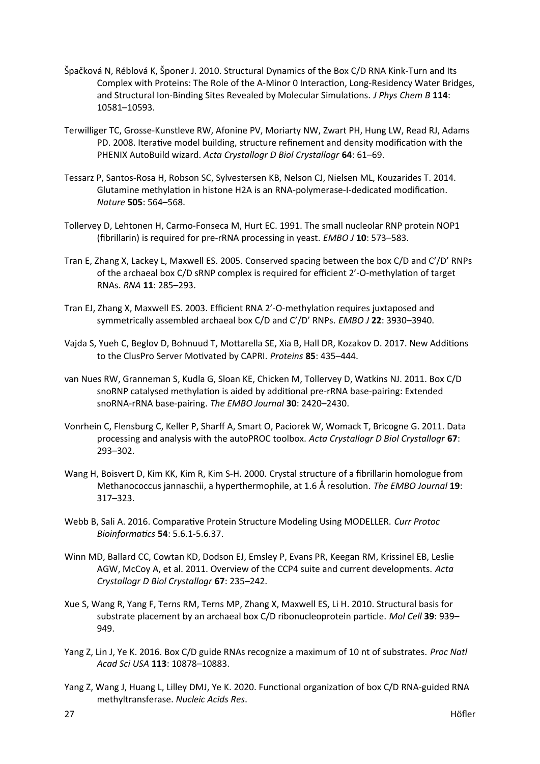- Špačková N, Réblová K, Šponer J. 2010. Structural Dynamics of the Box C/D RNA Kink-Turn and Its Complex with Proteins: The Role of the A-Minor 0 Interaction, Long-Residency Water Bridges, and Structural Ion-Binding Sites Revealed by Molecular Simulations. *J Phys Chem B* **114**: 10581–10593.
- Terwilliger TC, Grosse-Kunstleve RW, Afonine PV, Moriarty NW, Zwart PH, Hung LW, Read RJ, Adams PD. 2008. Iterative model building, structure refinement and density modification with the PHENIX AutoBuild wizard. *Acta Crystallogr D Biol Crystallogr* **64**: 61–69.
- Tessarz P, Santos-Rosa H, Robson SC, Sylvestersen KB, Nelson CJ, Nielsen ML, Kouzarides T. 2014. Glutamine methylation in histone H2A is an RNA-polymerase-I-dedicated modification. *Nature* **505**: 564–568.
- Tollervey D, Lehtonen H, Carmo-Fonseca M, Hurt EC. 1991. The small nucleolar RNP protein NOP1 (fibrillarin) is required for pre-rRNA processing in yeast. *EMBO J* **10**: 573–583.
- Tran E, Zhang X, Lackey L, Maxwell ES. 2005. Conserved spacing between the box C/D and C'/D' RNPs of the archaeal box C/D sRNP complex is required for efficient 2'-O-methylation of target RNAs. *RNA* **11**: 285–293.
- Tran EJ, Zhang X, Maxwell ES. 2003. Efficient RNA 2'-O-methylation requires juxtaposed and symmetrically assembled archaeal box C/D and C'/D' RNPs. *EMBO J* **22**: 3930–3940.
- Vajda S, Yueh C, Beglov D, Bohnuud T, Mottarella SE, Xia B, Hall DR, Kozakov D. 2017. New Additions to the ClusPro Server Motivated by CAPRI. *Proteins* **85**: 435–444.
- van Nues RW, Granneman S, Kudla G, Sloan KE, Chicken M, Tollervey D, Watkins NJ. 2011. Box C/D snoRNP catalysed methylation is aided by additional pre-rRNA base-pairing: Extended snoRNA-rRNA base-pairing. *The EMBO Journal* **30**: 2420–2430.
- Vonrhein C, Flensburg C, Keller P, Sharff A, Smart O, Paciorek W, Womack T, Bricogne G. 2011. Data processing and analysis with the autoPROC toolbox. *Acta Crystallogr D Biol Crystallogr* **67**: 293–302.
- Wang H, Boisvert D, Kim KK, Kim R, Kim S-H. 2000. Crystal structure of a fibrillarin homologue from Methanococcus jannaschii, a hyperthermophile, at 1.6 Å resolution. *The EMBO Journal* **19**: 317–323.
- Webb B, Sali A. 2016. Comparative Protein Structure Modeling Using MODELLER. *Curr Protoc Bioinformatics* **54**: 5.6.1-5.6.37.
- Winn MD, Ballard CC, Cowtan KD, Dodson EJ, Emsley P, Evans PR, Keegan RM, Krissinel EB, Leslie AGW, McCoy A, et al. 2011. Overview of the CCP4 suite and current developments. *Acta Crystallogr D Biol Crystallogr* **67**: 235–242.
- Xue S, Wang R, Yang F, Terns RM, Terns MP, Zhang X, Maxwell ES, Li H. 2010. Structural basis for substrate placement by an archaeal box C/D ribonucleoprotein particle. *Mol Cell* **39**: 939– 949.
- Yang Z, Lin J, Ye K. 2016. Box C/D guide RNAs recognize a maximum of 10 nt of substrates. *Proc Natl Acad Sci USA* **113**: 10878–10883.
- Yang Z, Wang J, Huang L, Lilley DMJ, Ye K. 2020. Functional organization of box C/D RNA-guided RNA methyltransferase. *Nucleic Acids Res*.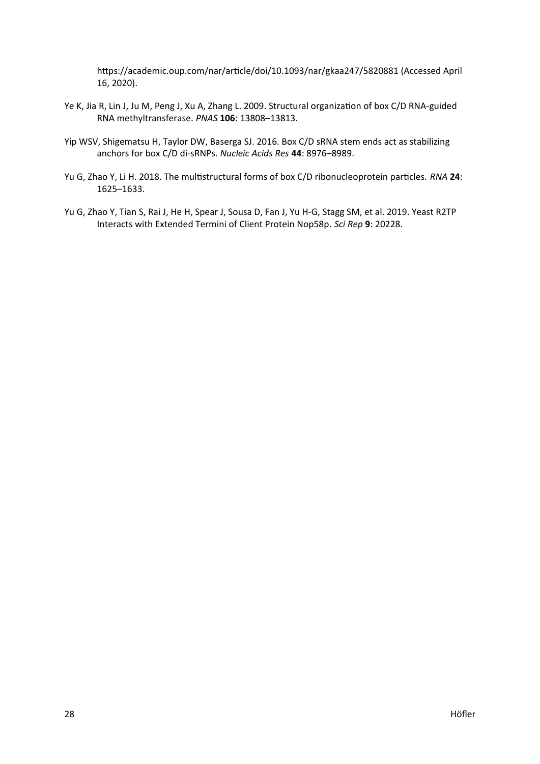https://academic.oup.com/nar/article/doi/10.1093/nar/gkaa247/5820881 (Accessed April 16, 2020).

- Ye K, Jia R, Lin J, Ju M, Peng J, Xu A, Zhang L. 2009. Structural organization of box C/D RNA-guided RNA methyltransferase. *PNAS* **106**: 13808–13813.
- Yip WSV, Shigematsu H, Taylor DW, Baserga SJ. 2016. Box C/D sRNA stem ends act as stabilizing anchors for box C/D di-sRNPs. *Nucleic Acids Res* **44**: 8976–8989.
- Yu G, Zhao Y, Li H. 2018. The multistructural forms of box C/D ribonucleoprotein particles. *RNA* **24**: 1625–1633.
- Yu G, Zhao Y, Tian S, Rai J, He H, Spear J, Sousa D, Fan J, Yu H-G, Stagg SM, et al. 2019. Yeast R2TP Interacts with Extended Termini of Client Protein Nop58p. *Sci Rep* **9**: 20228.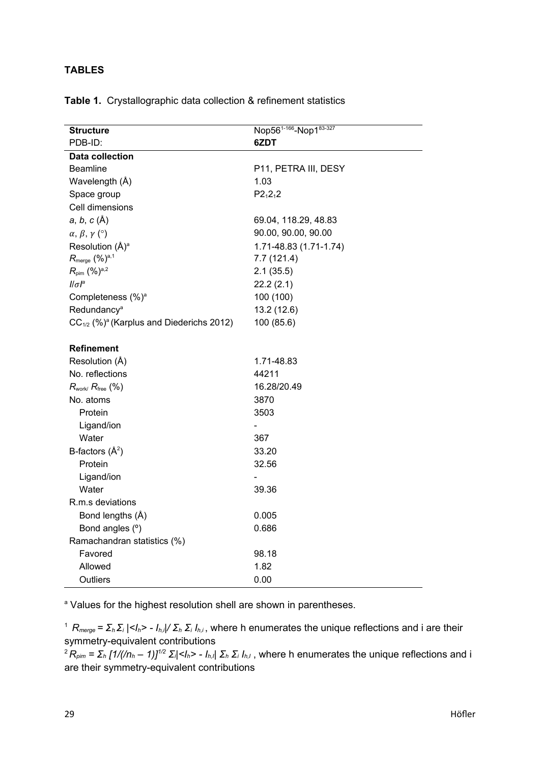# **TABLES**

|                                                           | Nop56 <sup>1-166</sup> -Nop183-327   |
|-----------------------------------------------------------|--------------------------------------|
| <b>Structure</b><br>PDB-ID:                               | 6ZDT                                 |
| <b>Data collection</b>                                    |                                      |
| <b>Beamline</b>                                           | P11, PETRA III, DESY                 |
| Wavelength (Å)                                            | 1.03                                 |
| Space group                                               | $P2_12_12$                           |
| Cell dimensions                                           |                                      |
| $a, b, c(\AA)$                                            | 69.04, 118.29, 48.83                 |
|                                                           | 90.00, 90.00, 90.00                  |
| $\alpha$ , $\beta$ , $\gamma$ (°)                         |                                      |
| Resolution (Å) <sup>a</sup>                               | 1.71-48.83 (1.71-1.74)<br>7.7(121.4) |
| $R_{\text{merge}}$ $(%)^{a,1}$                            |                                      |
| $R_{\text{pim}}$ (%) <sup>a,2</sup><br>$  \sigma ^a$      | 2.1(35.5)                            |
|                                                           | 22.2(2.1)                            |
| Completeness (%) <sup>a</sup><br>Redundancy <sup>a</sup>  | 100 (100)                            |
|                                                           | 13.2 (12.6)                          |
| $CC_{1/2}$ (%) <sup>a</sup> (Karplus and Diederichs 2012) | 100 (85.6)                           |
| <b>Refinement</b>                                         |                                      |
| Resolution (Å)                                            | 1.71-48.83                           |
| No. reflections                                           | 44211                                |
| $R_{work}/R_{free}$ (%)                                   | 16.28/20.49                          |
| No. atoms                                                 | 3870                                 |
| Protein                                                   | 3503                                 |
| Ligand/ion                                                |                                      |
| Water                                                     | 367                                  |
| B-factors $(\hat{A}^2)$                                   | 33.20                                |
| Protein                                                   | 32.56                                |
| Ligand/ion                                                |                                      |
| Water                                                     | 39.36                                |
| R.m.s deviations                                          |                                      |
| Bond lengths (Å)                                          | 0.005                                |
| Bond angles (°)                                           | 0.686                                |
| Ramachandran statistics (%)                               |                                      |
| Favored                                                   | 98.18                                |
| Allowed                                                   | 1.82                                 |
| Outliers                                                  | 0.00                                 |

# **Table 1.** Crystallographic data collection & refinement statistics

<sup>a</sup> Values for the highest resolution shell are shown in parentheses.

<sup>1</sup>*Rmerge = Σh Σi |<Ih> - Ih,i|/ Σh Σi Ih,i* , where h enumerates the unique reflections and i are their symmetry-equivalent contributions

 ${}^2R_{\rho im} = \sum_h [1/(n_h-1)]^{1/2} \sum_l |I_h\rangle - I_{h,l}| \sum_h \sum_l I_{h,l}$ , where h enumerates the unique reflections and i are their symmetry-equivalent contributions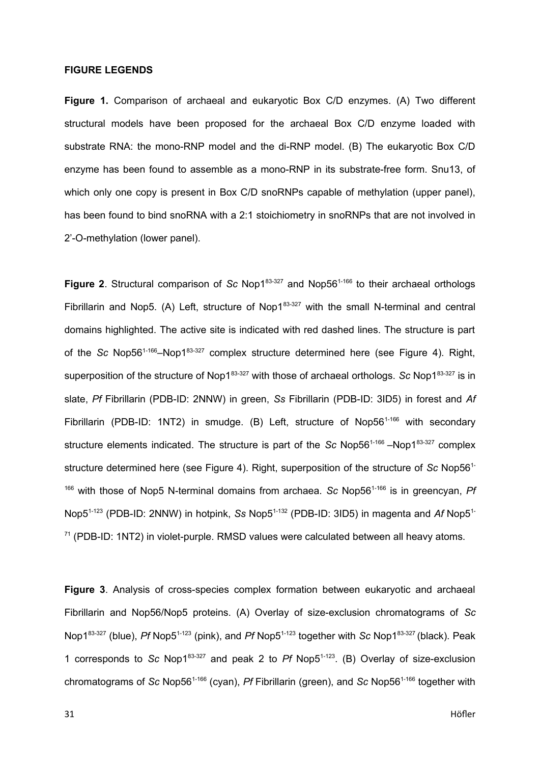## **FIGURE LEGENDS**

**Figure 1.** Comparison of archaeal and eukaryotic Box C/D enzymes. (A) Two different structural models have been proposed for the archaeal Box C/D enzyme loaded with substrate RNA: the mono-RNP model and the di-RNP model. (B) The eukaryotic Box C/D enzyme has been found to assemble as a mono-RNP in its substrate-free form. Snu13, of which only one copy is present in Box C/D snoRNPs capable of methylation (upper panel), has been found to bind snoRNA with a 2:1 stoichiometry in snoRNPs that are not involved in 2'-O-methylation (lower panel).

**Figure 2.** Structural comparison of *Sc* Nop1<sup>83-327</sup> and Nop56<sup>1-166</sup> to their archaeal orthologs Fibrillarin and Nop5. (A) Left, structure of Nop1 $83-327$  with the small N-terminal and central domains highlighted. The active site is indicated with red dashed lines. The structure is part of the *Sc* Nop561-166–Nop183-327 complex structure determined here (see Figure 4). Right, superposition of the structure of Nop1<sup>83-327</sup> with those of archaeal orthologs. *Sc* Nop1<sup>83-327</sup> is in slate, *Pf* Fibrillarin (PDB-ID: 2NNW) in green, *Ss* Fibrillarin (PDB-ID: 3ID5) in forest and *Af* Fibrillarin (PDB-ID: 1NT2) in smudge. (B) Left, structure of Nop56<sup>1-166</sup> with secondary structure elements indicated. The structure is part of the *Sc* Nop56<sup>1-166</sup> –Nop1<sup>83-327</sup> complex structure determined here (see Figure 4). Right, superposition of the structure of *Sc* Nop561- <sup>166</sup> with those of Nop5 N-terminal domains from archaea. *Sc* Nop56<sup>1-166</sup> is in greencyan, Pf Nop5<sup>1-123</sup> (PDB-ID: 2NNW) in hotpink, *Ss* Nop5<sup>1-132</sup> (PDB-ID: 3ID5) in magenta and *Af* Nop5<sup>1-1</sup>  $71$  (PDB-ID: 1NT2) in violet-purple. RMSD values were calculated between all heavy atoms.

**Figure 3**. Analysis of cross-species complex formation between eukaryotic and archaeal Fibrillarin and Nop56/Nop5 proteins. (A) Overlay of size-exclusion chromatograms of *Sc* Nop1<sup>83-327</sup> (blue), *Pf* Nop5<sup>1-123</sup> (pink), and *Pf* Nop5<sup>1-123</sup> together with *Sc* Nop1<sup>83-327</sup> (black). Peak 1 corresponds to *Sc* Nop183-327 and peak 2 to *Pf* Nop51-123. (B) Overlay of size-exclusion chromatograms of *Sc* Nop561-166 (cyan), *Pf* Fibrillarin (green), and *Sc* Nop561-166 together with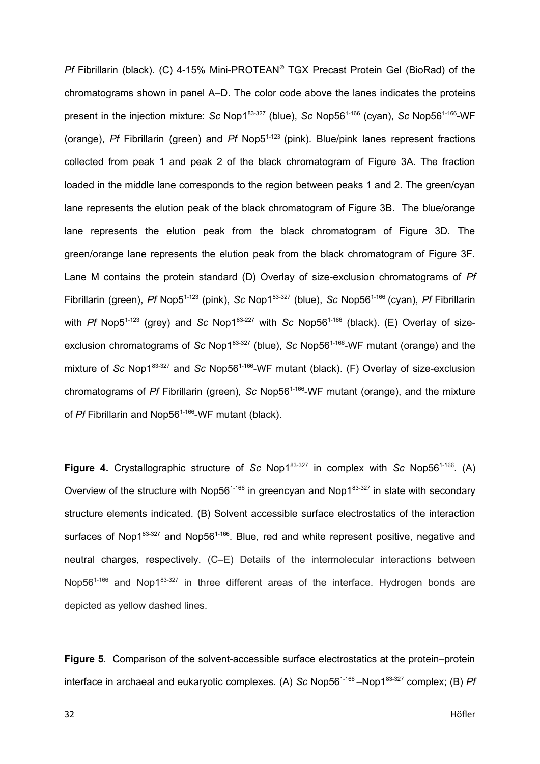*Pf* Fibrillarin (black). (C) 4-15% Mini-PROTEAN® TGX Precast Protein Gel (BioRad) of the chromatograms shown in panel A–D. The color code above the lanes indicates the proteins present in the injection mixture: *Sc* Nop183-327 (blue), *Sc* Nop561-166 (cyan), *Sc* Nop561-166-WF (orange), *Pf* Fibrillarin (green) and *Pf* Nop51-123 (pink). Blue/pink lanes represent fractions collected from peak 1 and peak 2 of the black chromatogram of Figure 3A. The fraction loaded in the middle lane corresponds to the region between peaks 1 and 2. The green/cyan lane represents the elution peak of the black chromatogram of Figure 3B. The blue/orange lane represents the elution peak from the black chromatogram of Figure 3D. The green/orange lane represents the elution peak from the black chromatogram of Figure 3F. Lane M contains the protein standard (D) Overlay of size-exclusion chromatograms of *Pf* Fibrillarin (green), *Pf* Nop51-123 (pink), *Sc* Nop183-327 (blue), *Sc* Nop561-166 (cyan), *Pf* Fibrillarin with *Pf* Nop5<sup>1-123</sup> (grey) and *Sc* Nop1<sup>83-227</sup> with *Sc* Nop56<sup>1-166</sup> (black). (E) Overlay of sizeexclusion chromatograms of *Sc* Nop1<sup>83-327</sup> (blue), *Sc* Nop56<sup>1-166</sup>-WF mutant (orange) and the mixture of *Sc* Nop183-327 and *Sc* Nop561-166-WF mutant (black). (F) Overlay of size-exclusion chromatograms of *Pf* Fibrillarin (green), *Sc* Nop561-166-WF mutant (orange), and the mixture of *Pf* Fibrillarin and Nop56<sup>1-166</sup>-WF mutant (black).

**Figure 4.** Crystallographic structure of *Sc* Nop183-327 in complex with *Sc* Nop561-166. (A) Overview of the structure with Nop56<sup>1-166</sup> in greencyan and Nop1 $83-327$  in slate with secondary structure elements indicated. (B) Solvent accessible surface electrostatics of the interaction surfaces of Nop1 $83-327$  and Nop56<sup>1-166</sup>. Blue, red and white represent positive, negative and neutral charges, respectively. (C–E) Details of the intermolecular interactions between Nop56<sup>1-166</sup> and Nop1<sup>83-327</sup> in three different areas of the interface. Hydrogen bonds are depicted as yellow dashed lines.

**Figure 5**. Comparison of the solvent-accessible surface electrostatics at the protein–protein interface in archaeal and eukaryotic complexes. (A) *Sc* Nop56<sup>1-166</sup> –Nop1<sup>83-327</sup> complex; (B) *Pf*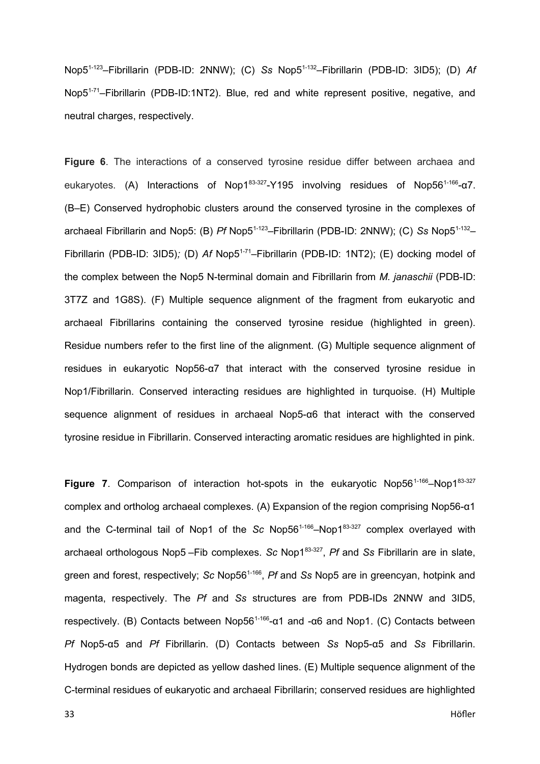Nop51-123–Fibrillarin (PDB-ID: 2NNW); (C) *Ss* Nop51-132–Fibrillarin (PDB-ID: 3ID5); (D) *Af* Nop5<sup>1-71</sup>–Fibrillarin (PDB-ID:1NT2). Blue, red and white represent positive, negative, and neutral charges, respectively.

**Figure 6**. The interactions of a conserved tyrosine residue differ between archaea and eukaryotes. (A) Interactions of Nop1<sup>83-327</sup>-Y195 involving residues of Nop56<sup>1-166</sup>-α7. (B–E) Conserved hydrophobic clusters around the conserved tyrosine in the complexes of archaeal Fibrillarin and Nop5: (B) *Pf* Nop5<sup>1-123</sup>–Fibrillarin (PDB-ID: 2NNW); (C) *Ss* Nop5<sup>1-132</sup>– Fibrillarin (PDB-ID: 3ID5); (D) Af Nop5<sup>1-71</sup>–Fibrillarin (PDB-ID: 1NT2); (E) docking model of the complex between the Nop5 N-terminal domain and Fibrillarin from *M. janaschii* (PDB-ID: 3T7Z and 1G8S). (F) Multiple sequence alignment of the fragment from eukaryotic and archaeal Fibrillarins containing the conserved tyrosine residue (highlighted in green). Residue numbers refer to the first line of the alignment. (G) Multiple sequence alignment of residues in eukaryotic Nop56-α7 that interact with the conserved tyrosine residue in Nop1/Fibrillarin. Conserved interacting residues are highlighted in turquoise. (H) Multiple sequence alignment of residues in archaeal Nop5-α6 that interact with the conserved tyrosine residue in Fibrillarin. Conserved interacting aromatic residues are highlighted in pink.

**Figure 7.** Comparison of interaction hot-spots in the eukaryotic Nop56<sup>1-166</sup>–Nop1<sup>83-327</sup> complex and ortholog archaeal complexes. (A) Expansion of the region comprising Nop56-α1 and the C-terminal tail of Nop1 of the *Sc* Nop56<sup>1-166</sup>–Nop1<sup>83-327</sup> complex overlayed with archaeal orthologous Nop5 – Fib complexes. Sc Nop1<sup>83-327</sup>, Pf and Ss Fibrillarin are in slate, green and forest, respectively; *Sc* Nop56<sup>1-166</sup>, *Pf* and *Ss* Nop5 are in greencyan, hotpink and magenta, respectively. The *Pf* and *Ss* structures are from PDB-IDs 2NNW and 3ID5, respectively. (B) Contacts between Nop56<sup>1-166</sup>-α1 and -α6 and Nop1. (C) Contacts between *Pf* Nop5-α5 and *Pf* Fibrillarin. (D) Contacts between *Ss* Nop5-α5 and *Ss* Fibrillarin. Hydrogen bonds are depicted as yellow dashed lines. (E) Multiple sequence alignment of the C-terminal residues of eukaryotic and archaeal Fibrillarin; conserved residues are highlighted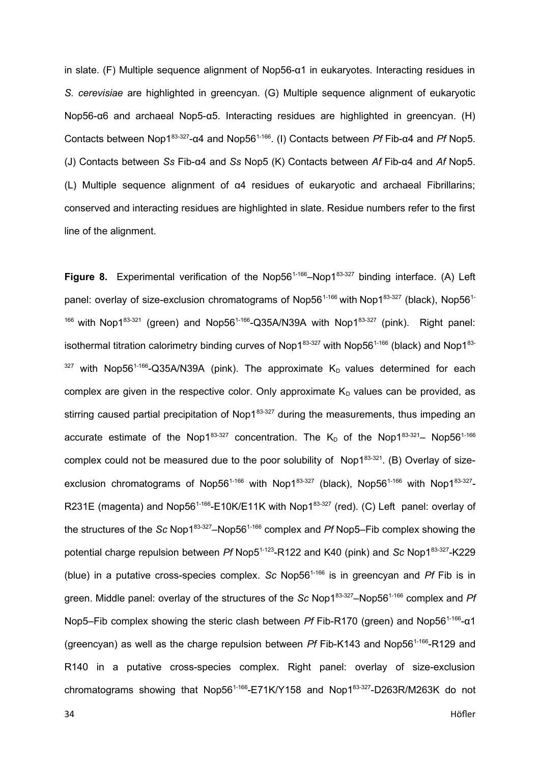in slate. (F) Multiple sequence alignment of Nop56-α1 in eukaryotes. Interacting residues in *S. cerevisiae* are highlighted in greencyan. (G) Multiple sequence alignment of eukaryotic Nop56-α6 and archaeal Nop5-α5. Interacting residues are highlighted in greencyan. (H) Contacts between Nop183-327-α4 and Nop561-166. (I) Contacts between *Pf* Fib-α4 and *Pf* Nop5. (J) Contacts between *Ss* Fib-α4 and *Ss* Nop5 (K) Contacts between *Af* Fib-α4 and *Af* Nop5. (L) Multiple sequence alignment of α4 residues of eukaryotic and archaeal Fibrillarins; conserved and interacting residues are highlighted in slate. Residue numbers refer to the first line of the alignment.

**Figure 8.** Experimental verification of the Nop56<sup>1-166</sup>–Nop1<sup>83-327</sup> binding interface. (A) Left panel: overlay of size-exclusion chromatograms of Nop56<sup>1-166</sup> with Nop1<sup>83-327</sup> (black), Nop56<sup>1-</sup>  $166$  with Nop1 $83-321$  (green) and Nop56<sup>1-166</sup>-Q35A/N39A with Nop1 $83-327$  (pink). Right panel: isothermal titration calorimetry binding curves of Nop1 $83-327$  with Nop56<sup>1-166</sup> (black) and Nop1 $83 327$  with Nop56<sup>1-166</sup>-Q35A/N39A (pink). The approximate K<sub>D</sub> values determined for each complex are given in the respective color. Only approximate  $K_D$  values can be provided, as stirring caused partial precipitation of Nop1 $83-327$  during the measurements, thus impeding an accurate estimate of the Nop183-327 concentration. The K<sub>D</sub> of the Nop183-321– Nop56<sup>1-166</sup> complex could not be measured due to the poor solubility of Nop183-321. (B) Overlay of sizeexclusion chromatograms of Nop56<sup>1-166</sup> with Nop1<sup>83-327</sup> (black), Nop56<sup>1-166</sup> with Nop1<sup>83-327</sup>-R231E (magenta) and Nop56<sup>1-166</sup>-E10K/E11K with Nop1<sup>83-327</sup> (red). (C) Left panel: overlay of the structures of the *Sc* Nop183-327–Nop561-166 complex and *Pf* Nop5–Fib complex showing the potential charge repulsion between *Pf* Nop5<sup>1-123</sup>-R122 and K40 (pink) and *Sc* Nop1<sup>83-327</sup>-K229 (blue) in a putative cross-species complex. *Sc* Nop561-166 is in greencyan and *Pf* Fib is in green. Middle panel: overlay of the structures of the *Sc* Nop1<sup>83-327</sup>–Nop56<sup>1-166</sup> complex and *Pf* Nop5–Fib complex showing the steric clash between *Pf* Fib-R170 (green) and Nop56<sup>1-166</sup>-α1 (greencyan) as well as the charge repulsion between *Pf* Fib-K143 and Nop56<sup>1-166</sup>-R129 and R140 in a putative cross-species complex. Right panel: overlay of size-exclusion chromatograms showing that  $Nop56^{1-166}$ -E71K/Y158 and  $Nop1^{83-327}$ -D263R/M263K do not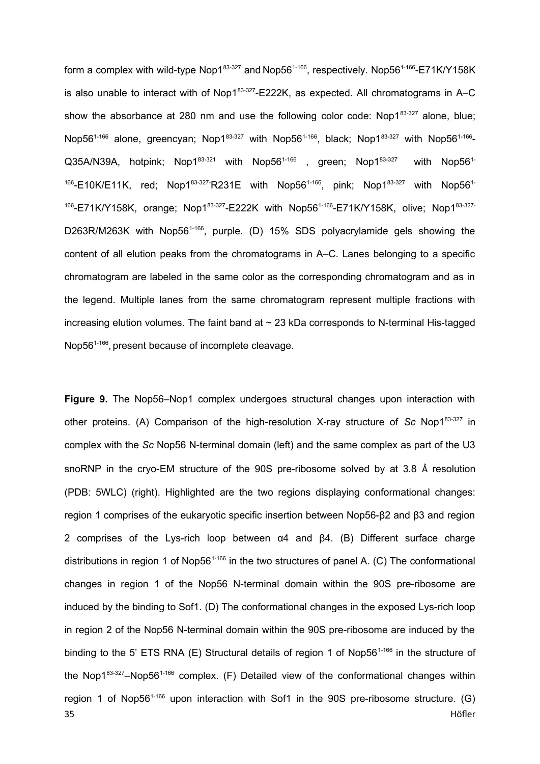form a complex with wild-type Nop183-327 and Nop561-166, respectively. Nop561-166-E71K/Y158K is also unable to interact with of Nop1 $83-327$ -E222K, as expected. All chromatograms in A–C show the absorbance at 280 nm and use the following color code: Nop1 $83-327$  alone, blue; Nop56<sup>1-166</sup> alone, greencyan; Nop1<sup>83-327</sup> with Nop56<sup>1-166</sup>, black; Nop1<sup>83-327</sup> with Nop56<sup>1-166</sup>- $Q35A/N39A$ , hotpink; Nop1 $83-321$  with Nop56<sup>1-166</sup>, green; Nop1 $83-327$  with Nop56<sup>1-1</sup>  $166 - E10K/E11K$ , red; Nop1 $83-327$  R231E with Nop56 $1-166$ , pink; Nop1 $83-327$  with Nop56 $1-$ <sup>166</sup>-E71K/Y158K, orange; Nop1<sup>83-327</sup>-E222K with Nop56<sup>1-166</sup>-E71K/Y158K, olive; Nop1<sup>83-327-</sup> D263R/M263K with Nop56<sup>1-166</sup>, purple. (D) 15% SDS polyacrylamide gels showing the content of all elution peaks from the chromatograms in A–C. Lanes belonging to a specific chromatogram are labeled in the same color as the corresponding chromatogram and as in the legend. Multiple lanes from the same chromatogram represent multiple fractions with increasing elution volumes. The faint band at  $\sim$  23 kDa corresponds to N-terminal His-tagged Nop56<sup>1-166</sup>, present because of incomplete cleavage.

**Figure 9.** The Nop56–Nop1 complex undergoes structural changes upon interaction with other proteins. (A) Comparison of the high-resolution X-ray structure of *Sc* Nop183-327 in complex with the *Sc* Nop56 N-terminal domain (left) and the same complex as part of the U3 snoRNP in the cryo-EM structure of the 90S pre-ribosome solved by at 3.8 Å resolution (PDB: 5WLC) (right). Highlighted are the two regions displaying conformational changes: region 1 comprises of the eukaryotic specific insertion between Nop56-β2 and β3 and region 2 comprises of the Lys-rich loop between α4 and β4. (B) Different surface charge distributions in region 1 of Nop56<sup>1-166</sup> in the two structures of panel A. (C) The conformational changes in region 1 of the Nop56 N-terminal domain within the 90S pre-ribosome are induced by the binding to Sof1. (D) The conformational changes in the exposed Lys-rich loop in region 2 of the Nop56 N-terminal domain within the 90S pre-ribosome are induced by the binding to the 5' ETS RNA (E) Structural details of region 1 of Nop56<sup>1-166</sup> in the structure of the Nop1 $83-327$ –Nop56<sup>1-166</sup> complex. (F) Detailed view of the conformational changes within region 1 of Nop56<sup>1-166</sup> upon interaction with Sof1 in the 90S pre-ribosome structure. (G) 35 Höfler